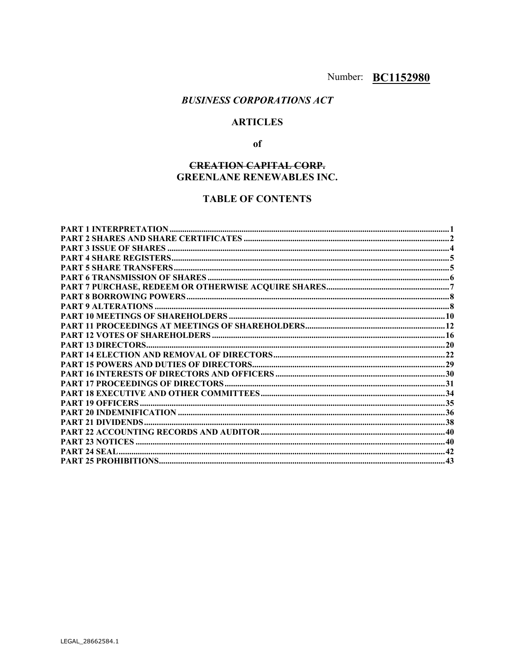## **BUSINESS CORPORATIONS ACT**

## **ARTICLES**

## $of$

## **CREATION CAPITAL CORP. GREENLANE RENEWABLES INC.**

## **TABLE OF CONTENTS**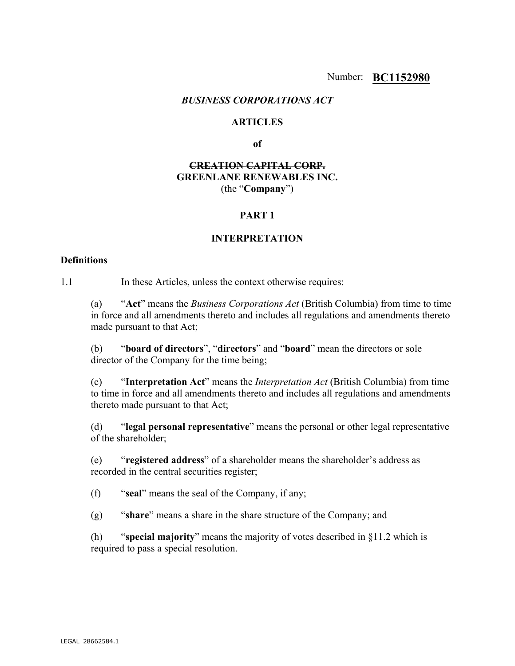#### *BUSINESS CORPORATIONS ACT*

#### **ARTICLES**

**of** 

## **CREATION CAPITAL CORP. GREENLANE RENEWABLES INC.**  (the "**Company**")

## **PART 1**

#### **INTERPRETATION**

#### **Definitions**

1.1 In these Articles, unless the context otherwise requires:

(a) "**Act**" means the *Business Corporations Act* (British Columbia) from time to time in force and all amendments thereto and includes all regulations and amendments thereto made pursuant to that Act;

(b) "**board of directors**", "**directors**" and "**board**" mean the directors or sole director of the Company for the time being;

(c) "**Interpretation Act**" means the *Interpretation Act* (British Columbia) from time to time in force and all amendments thereto and includes all regulations and amendments thereto made pursuant to that Act;

(d) "**legal personal representative**" means the personal or other legal representative of the shareholder;

(e) "**registered address**" of a shareholder means the shareholder's address as recorded in the central securities register;

(f) "**seal**" means the seal of the Company, if any;

(g) "**share**" means a share in the share structure of the Company; and

(h) "**special majority**" means the majority of votes described in §11.2 which is required to pass a special resolution.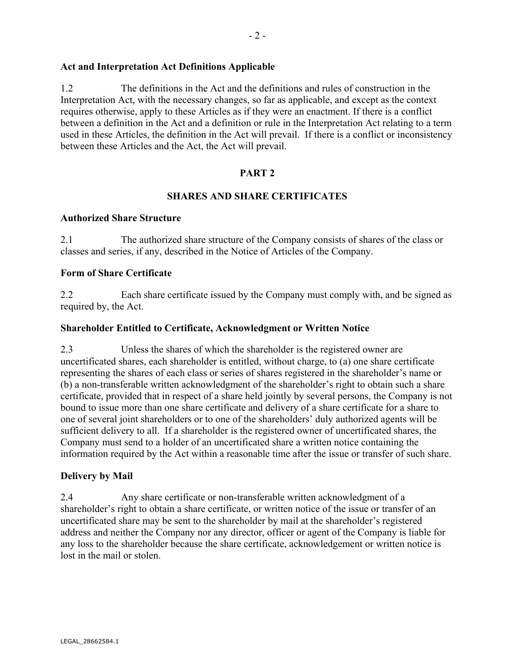## **Act and Interpretation Act Definitions Applicable**

1.2 The definitions in the Act and the definitions and rules of construction in the Interpretation Act, with the necessary changes, so far as applicable, and except as the context requires otherwise, apply to these Articles as if they were an enactment. If there is a conflict between a definition in the Act and a definition or rule in the Interpretation Act relating to a term used in these Articles, the definition in the Act will prevail. If there is a conflict or inconsistency between these Articles and the Act, the Act will prevail.

## **PART 2**

#### **SHARES AND SHARE CERTIFICATES**

#### **Authorized Share Structure**

2.1 The authorized share structure of the Company consists of shares of the class or classes and series, if any, described in the Notice of Articles of the Company.

## **Form of Share Certificate**

2.2 Each share certificate issued by the Company must comply with, and be signed as required by, the Act.

#### **Shareholder Entitled to Certificate, Acknowledgment or Written Notice**

2.3 Unless the shares of which the shareholder is the registered owner are uncertificated shares, each shareholder is entitled, without charge, to (a) one share certificate representing the shares of each class or series of shares registered in the shareholder's name or (b) a non-transferable written acknowledgment of the shareholder's right to obtain such a share certificate, provided that in respect of a share held jointly by several persons, the Company is not bound to issue more than one share certificate and delivery of a share certificate for a share to one of several joint shareholders or to one of the shareholders' duly authorized agents will be sufficient delivery to all. If a shareholder is the registered owner of uncertificated shares, the Company must send to a holder of an uncertificated share a written notice containing the information required by the Act within a reasonable time after the issue or transfer of such share.

#### **Delivery by Mail**

2.4 Any share certificate or non-transferable written acknowledgment of a shareholder's right to obtain a share certificate, or written notice of the issue or transfer of an uncertificated share may be sent to the shareholder by mail at the shareholder's registered address and neither the Company nor any director, officer or agent of the Company is liable for any loss to the shareholder because the share certificate, acknowledgement or written notice is lost in the mail or stolen.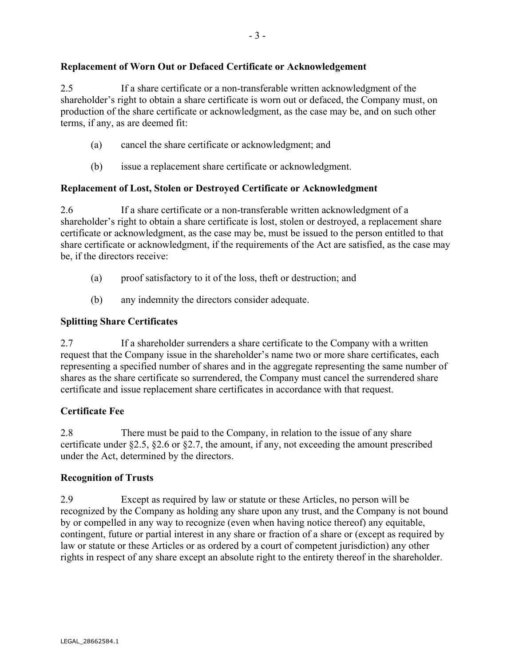## **Replacement of Worn Out or Defaced Certificate or Acknowledgement**

2.5 If a share certificate or a non-transferable written acknowledgment of the shareholder's right to obtain a share certificate is worn out or defaced, the Company must, on production of the share certificate or acknowledgment, as the case may be, and on such other terms, if any, as are deemed fit:

- (a) cancel the share certificate or acknowledgment; and
- (b) issue a replacement share certificate or acknowledgment.

## **Replacement of Lost, Stolen or Destroyed Certificate or Acknowledgment**

2.6 If a share certificate or a non-transferable written acknowledgment of a shareholder's right to obtain a share certificate is lost, stolen or destroyed, a replacement share certificate or acknowledgment, as the case may be, must be issued to the person entitled to that share certificate or acknowledgment, if the requirements of the Act are satisfied, as the case may be, if the directors receive:

- (a) proof satisfactory to it of the loss, theft or destruction; and
- (b) any indemnity the directors consider adequate.

## **Splitting Share Certificates**

2.7 If a shareholder surrenders a share certificate to the Company with a written request that the Company issue in the shareholder's name two or more share certificates, each representing a specified number of shares and in the aggregate representing the same number of shares as the share certificate so surrendered, the Company must cancel the surrendered share certificate and issue replacement share certificates in accordance with that request.

## **Certificate Fee**

2.8 There must be paid to the Company, in relation to the issue of any share certificate under §2.5, §2.6 or §2.7, the amount, if any, not exceeding the amount prescribed under the Act, determined by the directors.

## **Recognition of Trusts**

2.9 Except as required by law or statute or these Articles, no person will be recognized by the Company as holding any share upon any trust, and the Company is not bound by or compelled in any way to recognize (even when having notice thereof) any equitable, contingent, future or partial interest in any share or fraction of a share or (except as required by law or statute or these Articles or as ordered by a court of competent jurisdiction) any other rights in respect of any share except an absolute right to the entirety thereof in the shareholder.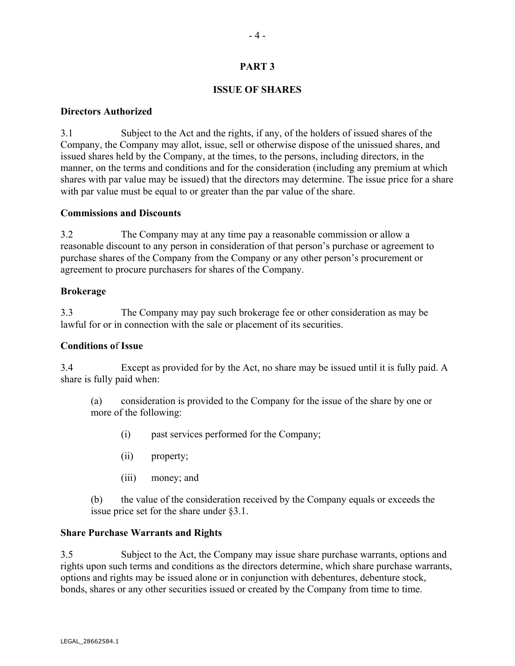## **PART 3**

## **ISSUE OF SHARES**

#### **Directors Authorized**

3.1 Subject to the Act and the rights, if any, of the holders of issued shares of the Company, the Company may allot, issue, sell or otherwise dispose of the unissued shares, and issued shares held by the Company, at the times, to the persons, including directors, in the manner, on the terms and conditions and for the consideration (including any premium at which shares with par value may be issued) that the directors may determine. The issue price for a share with par value must be equal to or greater than the par value of the share.

## **Commissions and Discounts**

3.2 The Company may at any time pay a reasonable commission or allow a reasonable discount to any person in consideration of that person's purchase or agreement to purchase shares of the Company from the Company or any other person's procurement or agreement to procure purchasers for shares of the Company.

#### **Brokerage**

3.3 The Company may pay such brokerage fee or other consideration as may be lawful for or in connection with the sale or placement of its securities.

## **Conditions o**f **Issue**

3.4 Except as provided for by the Act, no share may be issued until it is fully paid. A share is fully paid when:

(a) consideration is provided to the Company for the issue of the share by one or more of the following:

- (i) past services performed for the Company;
- (ii) property;
- (iii) money; and

(b) the value of the consideration received by the Company equals or exceeds the issue price set for the share under §3.1.

## **Share Purchase Warrants and Rights**

3.5 Subject to the Act, the Company may issue share purchase warrants, options and rights upon such terms and conditions as the directors determine, which share purchase warrants, options and rights may be issued alone or in conjunction with debentures, debenture stock, bonds, shares or any other securities issued or created by the Company from time to time.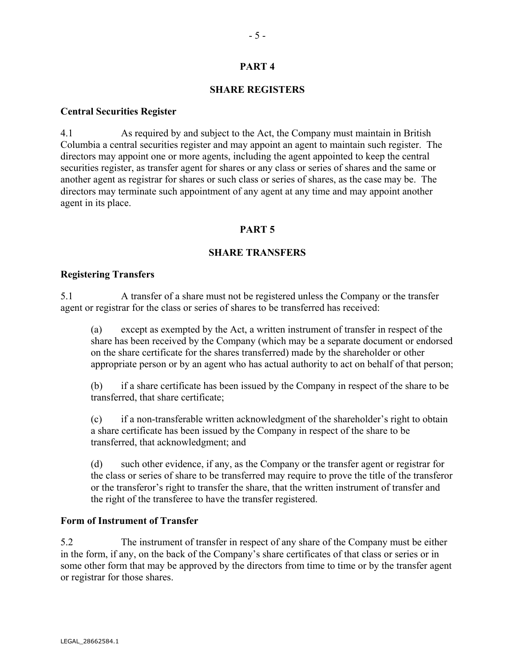## **PART 4**

#### **SHARE REGISTERS**

#### **Central Securities Register**

4.1 As required by and subject to the Act, the Company must maintain in British Columbia a central securities register and may appoint an agent to maintain such register. The directors may appoint one or more agents, including the agent appointed to keep the central securities register, as transfer agent for shares or any class or series of shares and the same or another agent as registrar for shares or such class or series of shares, as the case may be. The directors may terminate such appointment of any agent at any time and may appoint another agent in its place.

## **PART 5**

## **SHARE TRANSFERS**

#### **Registering Transfers**

5.1 A transfer of a share must not be registered unless the Company or the transfer agent or registrar for the class or series of shares to be transferred has received:

(a) except as exempted by the Act, a written instrument of transfer in respect of the share has been received by the Company (which may be a separate document or endorsed on the share certificate for the shares transferred) made by the shareholder or other appropriate person or by an agent who has actual authority to act on behalf of that person;

(b) if a share certificate has been issued by the Company in respect of the share to be transferred, that share certificate;

(c) if a non-transferable written acknowledgment of the shareholder's right to obtain a share certificate has been issued by the Company in respect of the share to be transferred, that acknowledgment; and

(d) such other evidence, if any, as the Company or the transfer agent or registrar for the class or series of share to be transferred may require to prove the title of the transferor or the transferor's right to transfer the share, that the written instrument of transfer and the right of the transferee to have the transfer registered.

#### **Form of Instrument of Transfer**

5.2 The instrument of transfer in respect of any share of the Company must be either in the form, if any, on the back of the Company's share certificates of that class or series or in some other form that may be approved by the directors from time to time or by the transfer agent or registrar for those shares.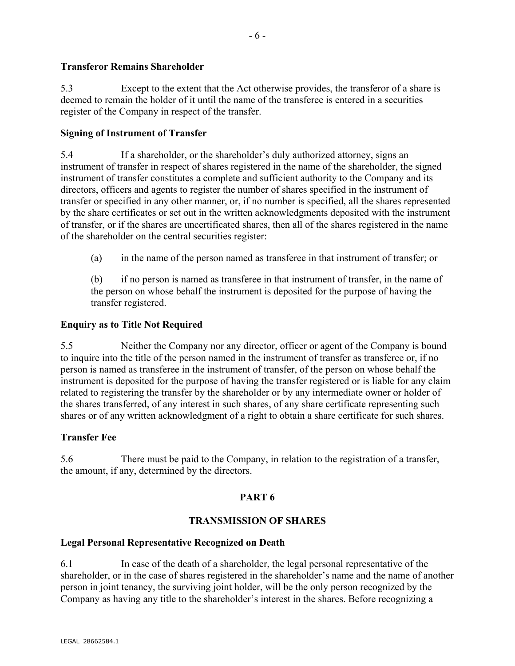## **Transferor Remains Shareholder**

5.3 Except to the extent that the Act otherwise provides, the transferor of a share is deemed to remain the holder of it until the name of the transferee is entered in a securities register of the Company in respect of the transfer.

## **Signing of Instrument of Transfer**

5.4 If a shareholder, or the shareholder's duly authorized attorney, signs an instrument of transfer in respect of shares registered in the name of the shareholder, the signed instrument of transfer constitutes a complete and sufficient authority to the Company and its directors, officers and agents to register the number of shares specified in the instrument of transfer or specified in any other manner, or, if no number is specified, all the shares represented by the share certificates or set out in the written acknowledgments deposited with the instrument of transfer, or if the shares are uncertificated shares, then all of the shares registered in the name of the shareholder on the central securities register:

(a) in the name of the person named as transferee in that instrument of transfer; or

(b) if no person is named as transferee in that instrument of transfer, in the name of the person on whose behalf the instrument is deposited for the purpose of having the transfer registered.

## **Enquiry as to Title Not Required**

5.5 Neither the Company nor any director, officer or agent of the Company is bound to inquire into the title of the person named in the instrument of transfer as transferee or, if no person is named as transferee in the instrument of transfer, of the person on whose behalf the instrument is deposited for the purpose of having the transfer registered or is liable for any claim related to registering the transfer by the shareholder or by any intermediate owner or holder of the shares transferred, of any interest in such shares, of any share certificate representing such shares or of any written acknowledgment of a right to obtain a share certificate for such shares.

## **Transfer Fee**

5.6 There must be paid to the Company, in relation to the registration of a transfer, the amount, if any, determined by the directors.

## **PART 6**

## **TRANSMISSION OF SHARES**

## **Legal Personal Representative Recognized on Death**

6.1 In case of the death of a shareholder, the legal personal representative of the shareholder, or in the case of shares registered in the shareholder's name and the name of another person in joint tenancy, the surviving joint holder, will be the only person recognized by the Company as having any title to the shareholder's interest in the shares. Before recognizing a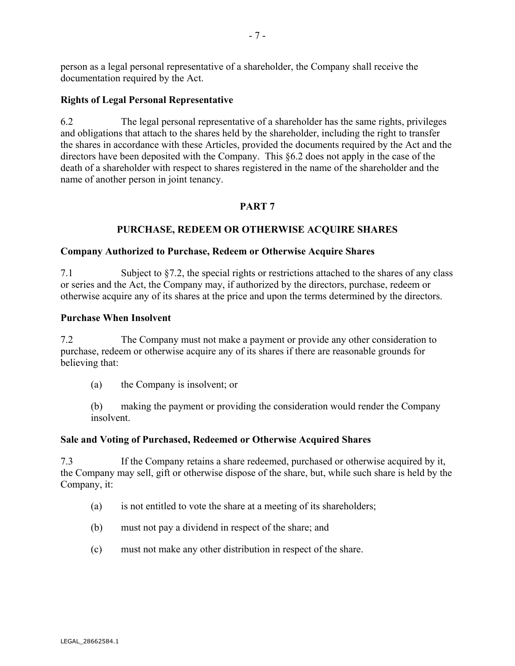person as a legal personal representative of a shareholder, the Company shall receive the documentation required by the Act.

## **Rights of Legal Personal Representative**

6.2 The legal personal representative of a shareholder has the same rights, privileges and obligations that attach to the shares held by the shareholder, including the right to transfer the shares in accordance with these Articles, provided the documents required by the Act and the directors have been deposited with the Company. This §6.2 does not apply in the case of the death of a shareholder with respect to shares registered in the name of the shareholder and the name of another person in joint tenancy.

## **PART 7**

## **PURCHASE, REDEEM OR OTHERWISE ACQUIRE SHARES**

#### **Company Authorized to Purchase, Redeem or Otherwise Acquire Shares**

7.1 Subject to §7.2, the special rights or restrictions attached to the shares of any class or series and the Act, the Company may, if authorized by the directors, purchase, redeem or otherwise acquire any of its shares at the price and upon the terms determined by the directors.

#### **Purchase When Insolvent**

7.2 The Company must not make a payment or provide any other consideration to purchase, redeem or otherwise acquire any of its shares if there are reasonable grounds for believing that:

(a) the Company is insolvent; or

(b) making the payment or providing the consideration would render the Company insolvent.

## **Sale and Voting of Purchased, Redeemed or Otherwise Acquired Shares**

7.3 If the Company retains a share redeemed, purchased or otherwise acquired by it, the Company may sell, gift or otherwise dispose of the share, but, while such share is held by the Company, it:

- (a) is not entitled to vote the share at a meeting of its shareholders;
- (b) must not pay a dividend in respect of the share; and
- (c) must not make any other distribution in respect of the share.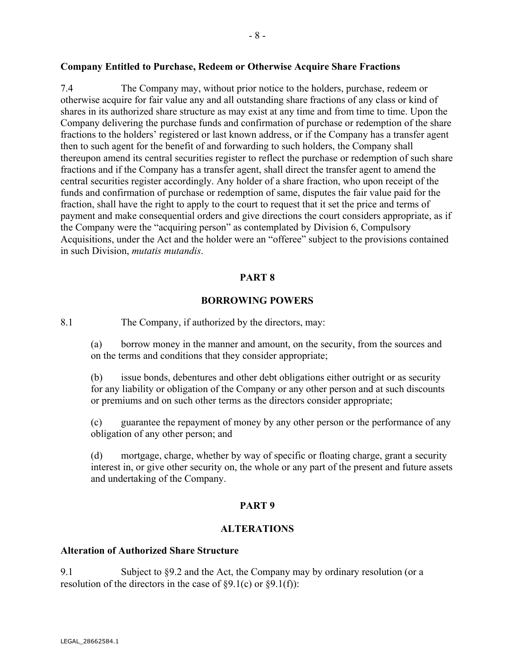#### **Company Entitled to Purchase, Redeem or Otherwise Acquire Share Fractions**

7.4 The Company may, without prior notice to the holders, purchase, redeem or otherwise acquire for fair value any and all outstanding share fractions of any class or kind of shares in its authorized share structure as may exist at any time and from time to time. Upon the Company delivering the purchase funds and confirmation of purchase or redemption of the share fractions to the holders' registered or last known address, or if the Company has a transfer agent then to such agent for the benefit of and forwarding to such holders, the Company shall thereupon amend its central securities register to reflect the purchase or redemption of such share fractions and if the Company has a transfer agent, shall direct the transfer agent to amend the central securities register accordingly. Any holder of a share fraction, who upon receipt of the funds and confirmation of purchase or redemption of same, disputes the fair value paid for the fraction, shall have the right to apply to the court to request that it set the price and terms of payment and make consequential orders and give directions the court considers appropriate, as if the Company were the "acquiring person" as contemplated by Division 6, Compulsory Acquisitions, under the Act and the holder were an "offeree" subject to the provisions contained in such Division, *mutatis mutandis*.

## **PART 8**

## **BORROWING POWERS**

8.1 The Company, if authorized by the directors, may:

(a) borrow money in the manner and amount, on the security, from the sources and on the terms and conditions that they consider appropriate;

(b) issue bonds, debentures and other debt obligations either outright or as security for any liability or obligation of the Company or any other person and at such discounts or premiums and on such other terms as the directors consider appropriate;

(c) guarantee the repayment of money by any other person or the performance of any obligation of any other person; and

(d) mortgage, charge, whether by way of specific or floating charge, grant a security interest in, or give other security on, the whole or any part of the present and future assets and undertaking of the Company.

## **PART 9**

## **ALTERATIONS**

## **Alteration of Authorized Share Structure**

9.1 Subject to §9.2 and the Act, the Company may by ordinary resolution (or a resolution of the directors in the case of  $\S9.1(c)$  or  $\S9.1(f)$ :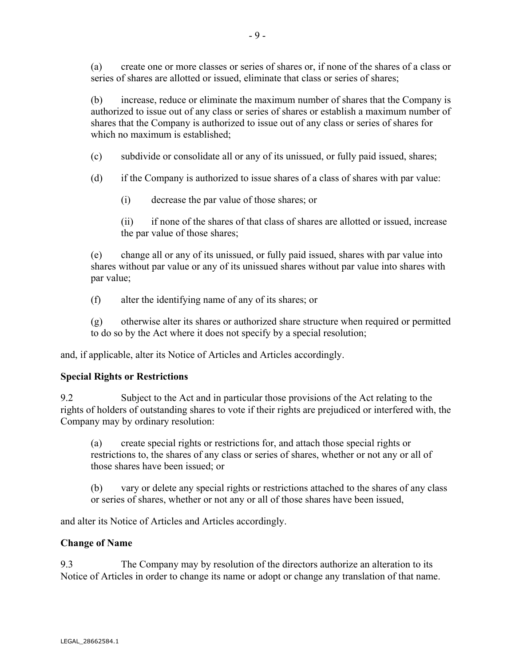(a) create one or more classes or series of shares or, if none of the shares of a class or series of shares are allotted or issued, eliminate that class or series of shares;

(b) increase, reduce or eliminate the maximum number of shares that the Company is authorized to issue out of any class or series of shares or establish a maximum number of shares that the Company is authorized to issue out of any class or series of shares for which no maximum is established;

- (c) subdivide or consolidate all or any of its unissued, or fully paid issued, shares;
- (d) if the Company is authorized to issue shares of a class of shares with par value:
	- (i) decrease the par value of those shares; or
	- (ii) if none of the shares of that class of shares are allotted or issued, increase the par value of those shares;

(e) change all or any of its unissued, or fully paid issued, shares with par value into shares without par value or any of its unissued shares without par value into shares with par value;

(f) alter the identifying name of any of its shares; or

(g) otherwise alter its shares or authorized share structure when required or permitted to do so by the Act where it does not specify by a special resolution;

and, if applicable, alter its Notice of Articles and Articles accordingly.

## **Special Rights or Restrictions**

9.2 Subject to the Act and in particular those provisions of the Act relating to the rights of holders of outstanding shares to vote if their rights are prejudiced or interfered with, the Company may by ordinary resolution:

(a) create special rights or restrictions for, and attach those special rights or restrictions to, the shares of any class or series of shares, whether or not any or all of those shares have been issued; or

(b) vary or delete any special rights or restrictions attached to the shares of any class or series of shares, whether or not any or all of those shares have been issued,

and alter its Notice of Articles and Articles accordingly.

## **Change of Name**

9.3 The Company may by resolution of the directors authorize an alteration to its Notice of Articles in order to change its name or adopt or change any translation of that name.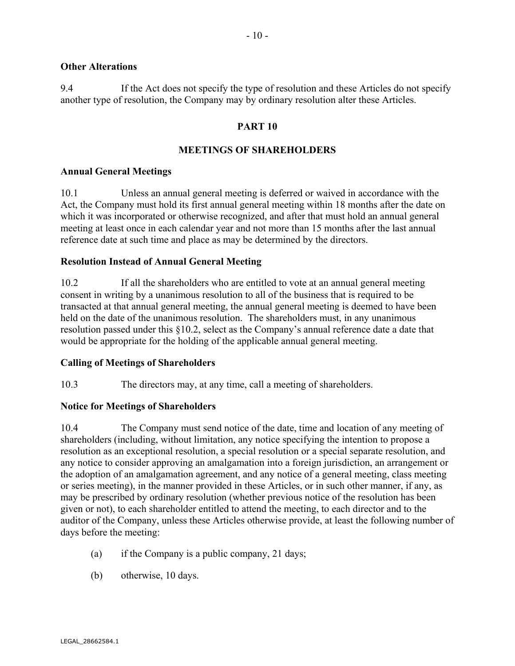#### **Other Alterations**

9.4 If the Act does not specify the type of resolution and these Articles do not specify another type of resolution, the Company may by ordinary resolution alter these Articles.

#### **PART 10**

#### **MEETINGS OF SHAREHOLDERS**

#### **Annual General Meetings**

10.1 Unless an annual general meeting is deferred or waived in accordance with the Act, the Company must hold its first annual general meeting within 18 months after the date on which it was incorporated or otherwise recognized, and after that must hold an annual general meeting at least once in each calendar year and not more than 15 months after the last annual reference date at such time and place as may be determined by the directors.

## **Resolution Instead of Annual General Meeting**

10.2 If all the shareholders who are entitled to vote at an annual general meeting consent in writing by a unanimous resolution to all of the business that is required to be transacted at that annual general meeting, the annual general meeting is deemed to have been held on the date of the unanimous resolution. The shareholders must, in any unanimous resolution passed under this §10.2, select as the Company's annual reference date a date that would be appropriate for the holding of the applicable annual general meeting.

#### **Calling of Meetings of Shareholders**

10.3 The directors may, at any time, call a meeting of shareholders.

## **Notice for Meetings of Shareholders**

10.4 The Company must send notice of the date, time and location of any meeting of shareholders (including, without limitation, any notice specifying the intention to propose a resolution as an exceptional resolution, a special resolution or a special separate resolution, and any notice to consider approving an amalgamation into a foreign jurisdiction, an arrangement or the adoption of an amalgamation agreement, and any notice of a general meeting, class meeting or series meeting), in the manner provided in these Articles, or in such other manner, if any, as may be prescribed by ordinary resolution (whether previous notice of the resolution has been given or not), to each shareholder entitled to attend the meeting, to each director and to the auditor of the Company, unless these Articles otherwise provide, at least the following number of days before the meeting:

- (a) if the Company is a public company, 21 days;
- (b) otherwise, 10 days.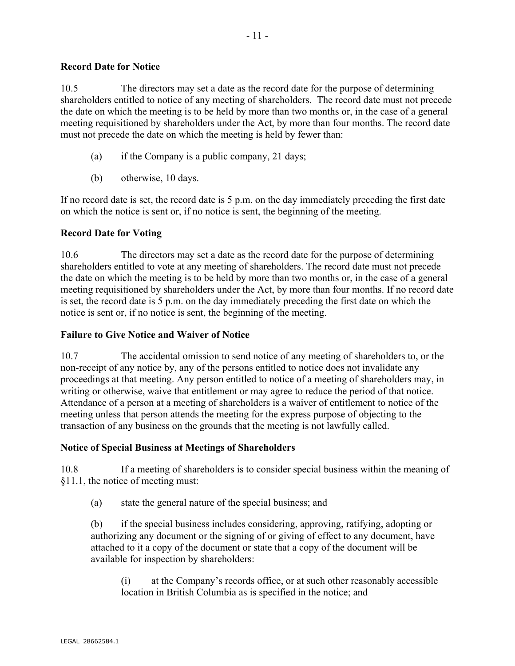## **Record Date for Notice**

10.5 The directors may set a date as the record date for the purpose of determining shareholders entitled to notice of any meeting of shareholders. The record date must not precede the date on which the meeting is to be held by more than two months or, in the case of a general meeting requisitioned by shareholders under the Act, by more than four months. The record date must not precede the date on which the meeting is held by fewer than:

- (a) if the Company is a public company, 21 days;
- (b) otherwise, 10 days.

If no record date is set, the record date is 5 p.m. on the day immediately preceding the first date on which the notice is sent or, if no notice is sent, the beginning of the meeting.

## **Record Date for Voting**

10.6 The directors may set a date as the record date for the purpose of determining shareholders entitled to vote at any meeting of shareholders. The record date must not precede the date on which the meeting is to be held by more than two months or, in the case of a general meeting requisitioned by shareholders under the Act, by more than four months. If no record date is set, the record date is 5 p.m. on the day immediately preceding the first date on which the notice is sent or, if no notice is sent, the beginning of the meeting.

## **Failure to Give Notice and Waiver of Notice**

10.7 The accidental omission to send notice of any meeting of shareholders to, or the non-receipt of any notice by, any of the persons entitled to notice does not invalidate any proceedings at that meeting. Any person entitled to notice of a meeting of shareholders may, in writing or otherwise, waive that entitlement or may agree to reduce the period of that notice. Attendance of a person at a meeting of shareholders is a waiver of entitlement to notice of the meeting unless that person attends the meeting for the express purpose of objecting to the transaction of any business on the grounds that the meeting is not lawfully called.

## **Notice of Special Business at Meetings of Shareholders**

10.8 If a meeting of shareholders is to consider special business within the meaning of §11.1, the notice of meeting must:

(a) state the general nature of the special business; and

(b) if the special business includes considering, approving, ratifying, adopting or authorizing any document or the signing of or giving of effect to any document, have attached to it a copy of the document or state that a copy of the document will be available for inspection by shareholders:

(i) at the Company's records office, or at such other reasonably accessible location in British Columbia as is specified in the notice; and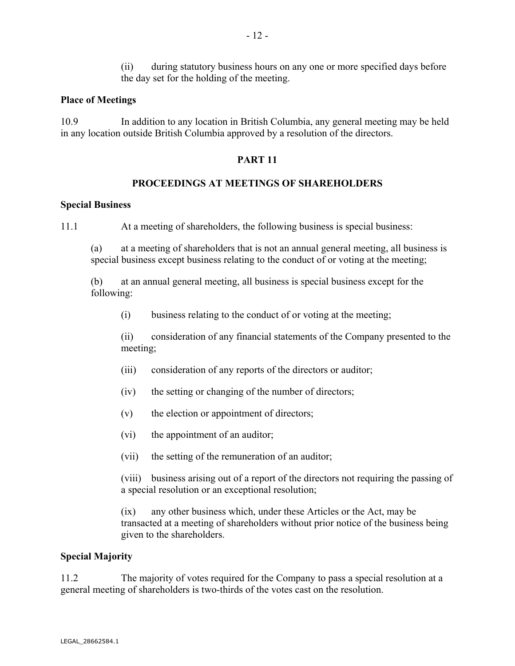## **Place of Meetings**

10.9 In addition to any location in British Columbia, any general meeting may be held in any location outside British Columbia approved by a resolution of the directors.

## **PART 11**

## **PROCEEDINGS AT MEETINGS OF SHAREHOLDERS**

## **Special Business**

11.1 At a meeting of shareholders, the following business is special business:

(a) at a meeting of shareholders that is not an annual general meeting, all business is special business except business relating to the conduct of or voting at the meeting;

(b) at an annual general meeting, all business is special business except for the following:

(i) business relating to the conduct of or voting at the meeting;

(ii) consideration of any financial statements of the Company presented to the meeting;

- (iii) consideration of any reports of the directors or auditor;
- (iv) the setting or changing of the number of directors;
- (v) the election or appointment of directors;
- (vi) the appointment of an auditor;
- (vii) the setting of the remuneration of an auditor;

(viii) business arising out of a report of the directors not requiring the passing of a special resolution or an exceptional resolution;

(ix) any other business which, under these Articles or the Act, may be transacted at a meeting of shareholders without prior notice of the business being given to the shareholders.

## **Special Majority**

11.2 The majority of votes required for the Company to pass a special resolution at a general meeting of shareholders is two-thirds of the votes cast on the resolution.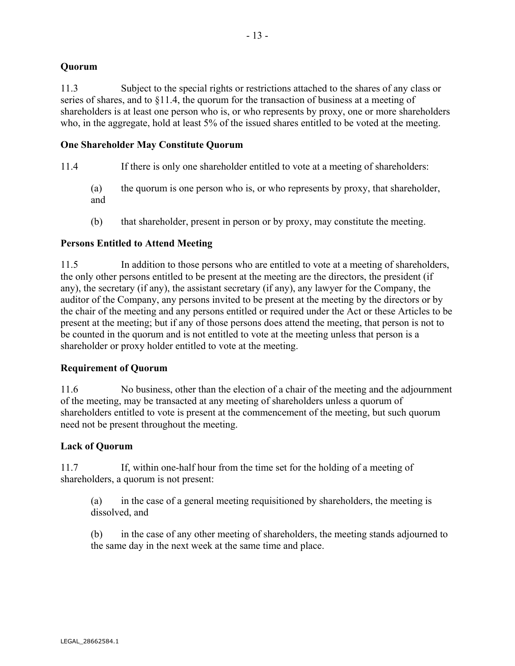## **Quorum**

11.3 Subject to the special rights or restrictions attached to the shares of any class or series of shares, and to §11.4, the quorum for the transaction of business at a meeting of shareholders is at least one person who is, or who represents by proxy, one or more shareholders who, in the aggregate, hold at least 5% of the issued shares entitled to be voted at the meeting.

## **One Shareholder May Constitute Quorum**

- 11.4 If there is only one shareholder entitled to vote at a meeting of shareholders:
	- (a) the quorum is one person who is, or who represents by proxy, that shareholder, and
	- (b) that shareholder, present in person or by proxy, may constitute the meeting.

## **Persons Entitled to Attend Meeting**

11.5 In addition to those persons who are entitled to vote at a meeting of shareholders, the only other persons entitled to be present at the meeting are the directors, the president (if any), the secretary (if any), the assistant secretary (if any), any lawyer for the Company, the auditor of the Company, any persons invited to be present at the meeting by the directors or by the chair of the meeting and any persons entitled or required under the Act or these Articles to be present at the meeting; but if any of those persons does attend the meeting, that person is not to be counted in the quorum and is not entitled to vote at the meeting unless that person is a shareholder or proxy holder entitled to vote at the meeting.

## **Requirement of Quorum**

11.6 No business, other than the election of a chair of the meeting and the adjournment of the meeting, may be transacted at any meeting of shareholders unless a quorum of shareholders entitled to vote is present at the commencement of the meeting, but such quorum need not be present throughout the meeting.

## **Lack of Quorum**

11.7 If, within one-half hour from the time set for the holding of a meeting of shareholders, a quorum is not present:

(a) in the case of a general meeting requisitioned by shareholders, the meeting is dissolved, and

(b) in the case of any other meeting of shareholders, the meeting stands adjourned to the same day in the next week at the same time and place.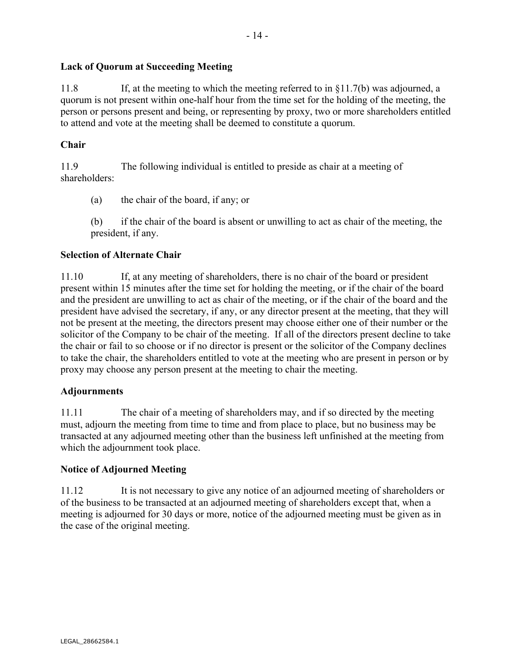## **Lack of Quorum at Succeeding Meeting**

11.8 If, at the meeting to which the meeting referred to in §11.7(b) was adjourned, a quorum is not present within one-half hour from the time set for the holding of the meeting, the person or persons present and being, or representing by proxy, two or more shareholders entitled to attend and vote at the meeting shall be deemed to constitute a quorum.

## **Chair**

11.9 The following individual is entitled to preside as chair at a meeting of shareholders:

- (a) the chair of the board, if any; or
- (b) if the chair of the board is absent or unwilling to act as chair of the meeting, the president, if any.

## **Selection of Alternate Chair**

11.10 If, at any meeting of shareholders, there is no chair of the board or president present within 15 minutes after the time set for holding the meeting, or if the chair of the board and the president are unwilling to act as chair of the meeting, or if the chair of the board and the president have advised the secretary, if any, or any director present at the meeting, that they will not be present at the meeting, the directors present may choose either one of their number or the solicitor of the Company to be chair of the meeting. If all of the directors present decline to take the chair or fail to so choose or if no director is present or the solicitor of the Company declines to take the chair, the shareholders entitled to vote at the meeting who are present in person or by proxy may choose any person present at the meeting to chair the meeting.

## **Adjournments**

11.11 The chair of a meeting of shareholders may, and if so directed by the meeting must, adjourn the meeting from time to time and from place to place, but no business may be transacted at any adjourned meeting other than the business left unfinished at the meeting from which the adjournment took place.

## **Notice of Adjourned Meeting**

11.12 It is not necessary to give any notice of an adjourned meeting of shareholders or of the business to be transacted at an adjourned meeting of shareholders except that, when a meeting is adjourned for 30 days or more, notice of the adjourned meeting must be given as in the case of the original meeting.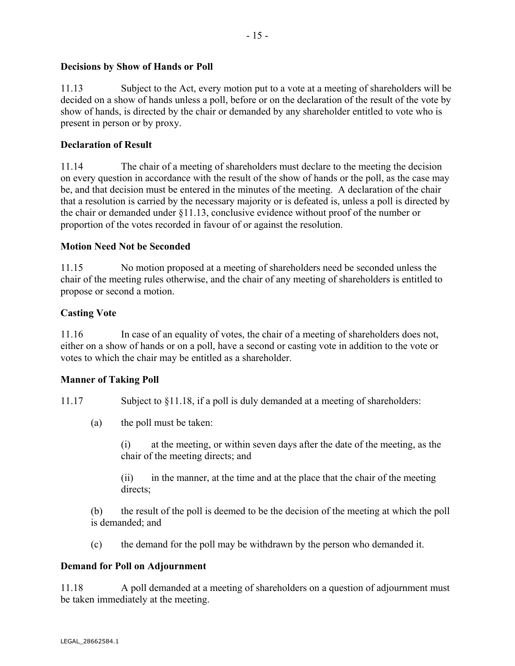## **Decisions by Show of Hands or Poll**

11.13 Subject to the Act, every motion put to a vote at a meeting of shareholders will be decided on a show of hands unless a poll, before or on the declaration of the result of the vote by show of hands, is directed by the chair or demanded by any shareholder entitled to vote who is present in person or by proxy.

## **Declaration of Result**

11.14 The chair of a meeting of shareholders must declare to the meeting the decision on every question in accordance with the result of the show of hands or the poll, as the case may be, and that decision must be entered in the minutes of the meeting. A declaration of the chair that a resolution is carried by the necessary majority or is defeated is, unless a poll is directed by the chair or demanded under §11.13, conclusive evidence without proof of the number or proportion of the votes recorded in favour of or against the resolution.

## **Motion Need Not be Seconded**

11.15 No motion proposed at a meeting of shareholders need be seconded unless the chair of the meeting rules otherwise, and the chair of any meeting of shareholders is entitled to propose or second a motion.

## **Casting Vote**

11.16 In case of an equality of votes, the chair of a meeting of shareholders does not, either on a show of hands or on a poll, have a second or casting vote in addition to the vote or votes to which the chair may be entitled as a shareholder.

## **Manner of Taking Poll**

11.17 Subject to §11.18, if a poll is duly demanded at a meeting of shareholders:

(a) the poll must be taken:

(i) at the meeting, or within seven days after the date of the meeting, as the chair of the meeting directs; and

(ii) in the manner, at the time and at the place that the chair of the meeting directs:

(b) the result of the poll is deemed to be the decision of the meeting at which the poll is demanded; and

(c) the demand for the poll may be withdrawn by the person who demanded it.

## **Demand for Poll on Adjournment**

11.18 A poll demanded at a meeting of shareholders on a question of adjournment must be taken immediately at the meeting.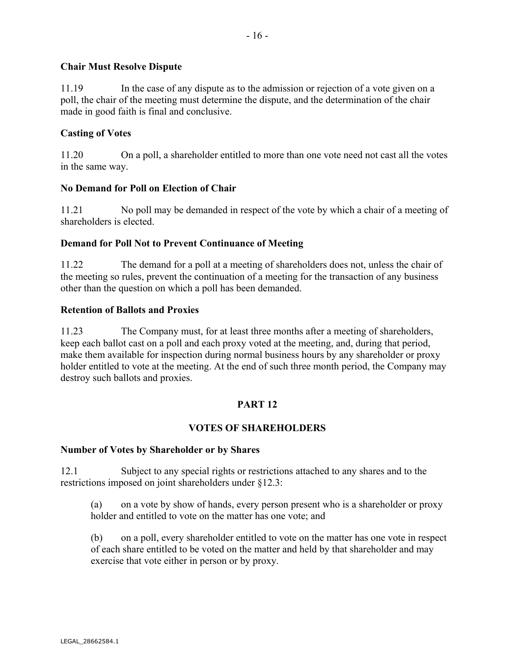## **Chair Must Resolve Dispute**

11.19 In the case of any dispute as to the admission or rejection of a vote given on a poll, the chair of the meeting must determine the dispute, and the determination of the chair made in good faith is final and conclusive.

## **Casting of Votes**

11.20 On a poll, a shareholder entitled to more than one vote need not cast all the votes in the same way.

## **No Demand for Poll on Election of Chair**

11.21 No poll may be demanded in respect of the vote by which a chair of a meeting of shareholders is elected.

## **Demand for Poll Not to Prevent Continuance of Meeting**

11.22 The demand for a poll at a meeting of shareholders does not, unless the chair of the meeting so rules, prevent the continuation of a meeting for the transaction of any business other than the question on which a poll has been demanded.

#### **Retention of Ballots and Proxies**

11.23 The Company must, for at least three months after a meeting of shareholders, keep each ballot cast on a poll and each proxy voted at the meeting, and, during that period, make them available for inspection during normal business hours by any shareholder or proxy holder entitled to vote at the meeting. At the end of such three month period, the Company may destroy such ballots and proxies.

## **PART 12**

## **VOTES OF SHAREHOLDERS**

#### **Number of Votes by Shareholder or by Shares**

12.1 Subject to any special rights or restrictions attached to any shares and to the restrictions imposed on joint shareholders under §12.3:

(a) on a vote by show of hands, every person present who is a shareholder or proxy holder and entitled to vote on the matter has one vote; and

(b) on a poll, every shareholder entitled to vote on the matter has one vote in respect of each share entitled to be voted on the matter and held by that shareholder and may exercise that vote either in person or by proxy.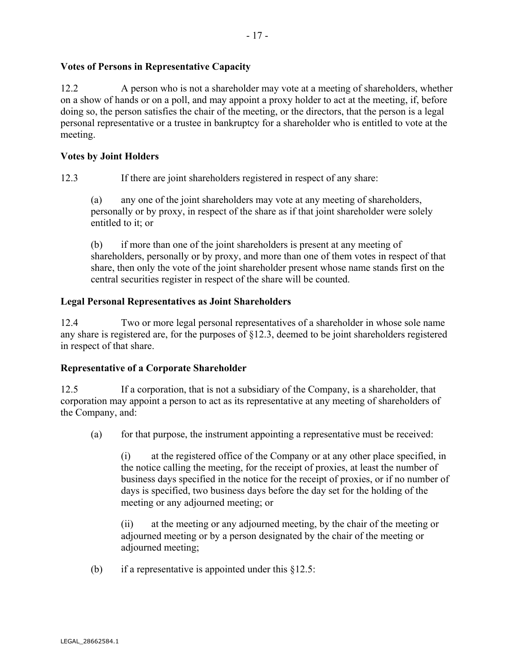## **Votes of Persons in Representative Capacity**

12.2 A person who is not a shareholder may vote at a meeting of shareholders, whether on a show of hands or on a poll, and may appoint a proxy holder to act at the meeting, if, before doing so, the person satisfies the chair of the meeting, or the directors, that the person is a legal personal representative or a trustee in bankruptcy for a shareholder who is entitled to vote at the meeting.

## **Votes by Joint Holders**

12.3 If there are joint shareholders registered in respect of any share:

(a) any one of the joint shareholders may vote at any meeting of shareholders, personally or by proxy, in respect of the share as if that joint shareholder were solely entitled to it; or

(b) if more than one of the joint shareholders is present at any meeting of shareholders, personally or by proxy, and more than one of them votes in respect of that share, then only the vote of the joint shareholder present whose name stands first on the central securities register in respect of the share will be counted.

## **Legal Personal Representatives as Joint Shareholders**

12.4 Two or more legal personal representatives of a shareholder in whose sole name any share is registered are, for the purposes of §12.3, deemed to be joint shareholders registered in respect of that share.

## **Representative of a Corporate Shareholder**

12.5 If a corporation, that is not a subsidiary of the Company, is a shareholder, that corporation may appoint a person to act as its representative at any meeting of shareholders of the Company, and:

(a) for that purpose, the instrument appointing a representative must be received:

(i) at the registered office of the Company or at any other place specified, in the notice calling the meeting, for the receipt of proxies, at least the number of business days specified in the notice for the receipt of proxies, or if no number of days is specified, two business days before the day set for the holding of the meeting or any adjourned meeting; or

(ii) at the meeting or any adjourned meeting, by the chair of the meeting or adjourned meeting or by a person designated by the chair of the meeting or adjourned meeting;

(b) if a representative is appointed under this  $§12.5$ :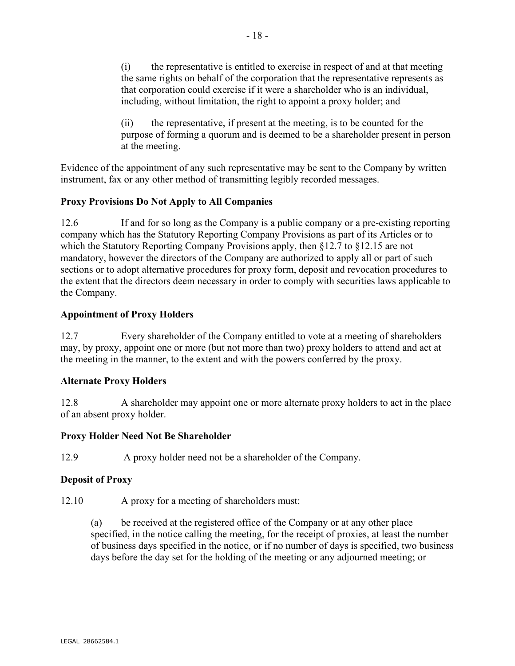(i) the representative is entitled to exercise in respect of and at that meeting the same rights on behalf of the corporation that the representative represents as that corporation could exercise if it were a shareholder who is an individual, including, without limitation, the right to appoint a proxy holder; and

(ii) the representative, if present at the meeting, is to be counted for the purpose of forming a quorum and is deemed to be a shareholder present in person at the meeting.

Evidence of the appointment of any such representative may be sent to the Company by written instrument, fax or any other method of transmitting legibly recorded messages.

## **Proxy Provisions Do Not Apply to All Companies**

12.6 If and for so long as the Company is a public company or a pre-existing reporting company which has the Statutory Reporting Company Provisions as part of its Articles or to which the Statutory Reporting Company Provisions apply, then §12.7 to §12.15 are not mandatory, however the directors of the Company are authorized to apply all or part of such sections or to adopt alternative procedures for proxy form, deposit and revocation procedures to the extent that the directors deem necessary in order to comply with securities laws applicable to the Company.

## **Appointment of Proxy Holders**

12.7 Every shareholder of the Company entitled to vote at a meeting of shareholders may, by proxy, appoint one or more (but not more than two) proxy holders to attend and act at the meeting in the manner, to the extent and with the powers conferred by the proxy.

## **Alternate Proxy Holders**

12.8 A shareholder may appoint one or more alternate proxy holders to act in the place of an absent proxy holder.

## **Proxy Holder Need Not Be Shareholder**

12.9 A proxy holder need not be a shareholder of the Company.

## **Deposit of Proxy**

12.10 A proxy for a meeting of shareholders must:

(a) be received at the registered office of the Company or at any other place specified, in the notice calling the meeting, for the receipt of proxies, at least the number of business days specified in the notice, or if no number of days is specified, two business days before the day set for the holding of the meeting or any adjourned meeting; or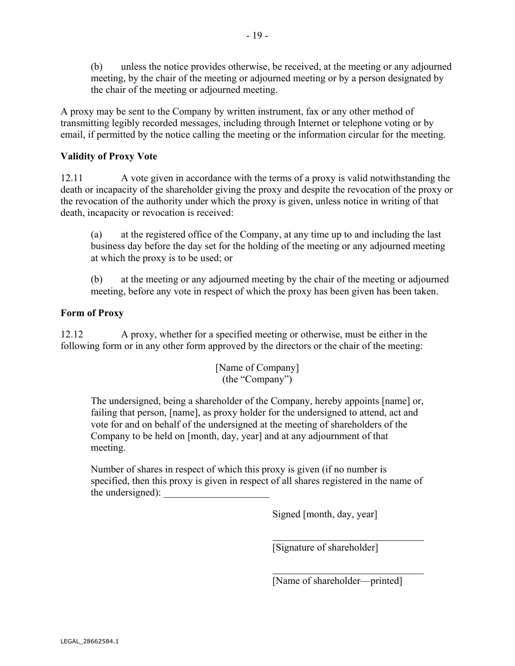(b) unless the notice provides otherwise, be received, at the meeting or any adjourned meeting, by the chair of the meeting or adjourned meeting or by a person designated by the chair of the meeting or adjourned meeting.

A proxy may be sent to the Company by written instrument, fax or any other method of transmitting legibly recorded messages, including through Internet or telephone voting or by email, if permitted by the notice calling the meeting or the information circular for the meeting.

## **Validity of Proxy Vote**

12.11 A vote given in accordance with the terms of a proxy is valid notwithstanding the death or incapacity of the shareholder giving the proxy and despite the revocation of the proxy or the revocation of the authority under which the proxy is given, unless notice in writing of that death, incapacity or revocation is received:

(a) at the registered office of the Company, at any time up to and including the last business day before the day set for the holding of the meeting or any adjourned meeting at which the proxy is to be used; or

(b) at the meeting or any adjourned meeting by the chair of the meeting or adjourned meeting, before any vote in respect of which the proxy has been given has been taken.

## **Form of Proxy**

12.12 A proxy, whether for a specified meeting or otherwise, must be either in the following form or in any other form approved by the directors or the chair of the meeting:

> [Name of Company] (the "Company")

The undersigned, being a shareholder of the Company, hereby appoints [name] or, failing that person, [name], as proxy holder for the undersigned to attend, act and vote for and on behalf of the undersigned at the meeting of shareholders of the Company to be held on [month, day, year] and at any adjournment of that meeting.

Number of shares in respect of which this proxy is given (if no number is specified, then this proxy is given in respect of all shares registered in the name of the undersigned):

 $\overline{a}$ 

 $\overline{a}$ 

Signed [month, day, year]

[Signature of shareholder]

[Name of shareholder—printed]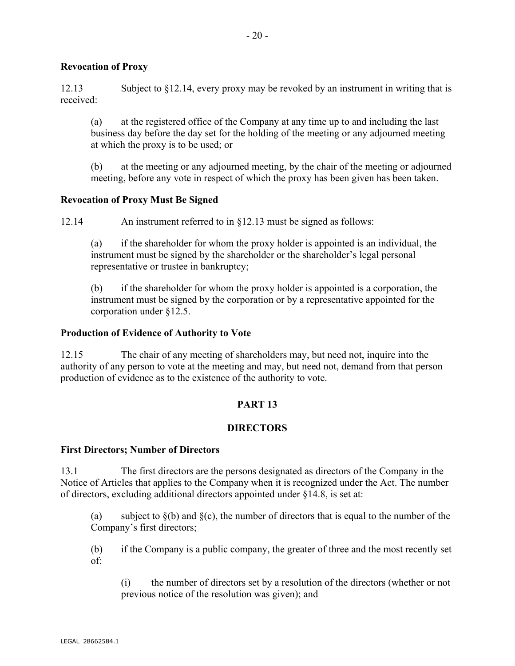## **Revocation of Proxy**

12.13 Subject to §12.14, every proxy may be revoked by an instrument in writing that is received:

(a) at the registered office of the Company at any time up to and including the last business day before the day set for the holding of the meeting or any adjourned meeting at which the proxy is to be used; or

(b) at the meeting or any adjourned meeting, by the chair of the meeting or adjourned meeting, before any vote in respect of which the proxy has been given has been taken.

## **Revocation of Proxy Must Be Signed**

12.14 An instrument referred to in §12.13 must be signed as follows:

(a) if the shareholder for whom the proxy holder is appointed is an individual, the instrument must be signed by the shareholder or the shareholder's legal personal representative or trustee in bankruptcy;

(b) if the shareholder for whom the proxy holder is appointed is a corporation, the instrument must be signed by the corporation or by a representative appointed for the corporation under §12.5.

#### **Production of Evidence of Authority to Vote**

12.15 The chair of any meeting of shareholders may, but need not, inquire into the authority of any person to vote at the meeting and may, but need not, demand from that person production of evidence as to the existence of the authority to vote.

## **PART 13**

## **DIRECTORS**

#### **First Directors; Number of Directors**

13.1 The first directors are the persons designated as directors of the Company in the Notice of Articles that applies to the Company when it is recognized under the Act. The number of directors, excluding additional directors appointed under §14.8, is set at:

(a) subject to  $\S(b)$  and  $\S(c)$ , the number of directors that is equal to the number of the Company's first directors;

(b) if the Company is a public company, the greater of three and the most recently set of:

(i) the number of directors set by a resolution of the directors (whether or not previous notice of the resolution was given); and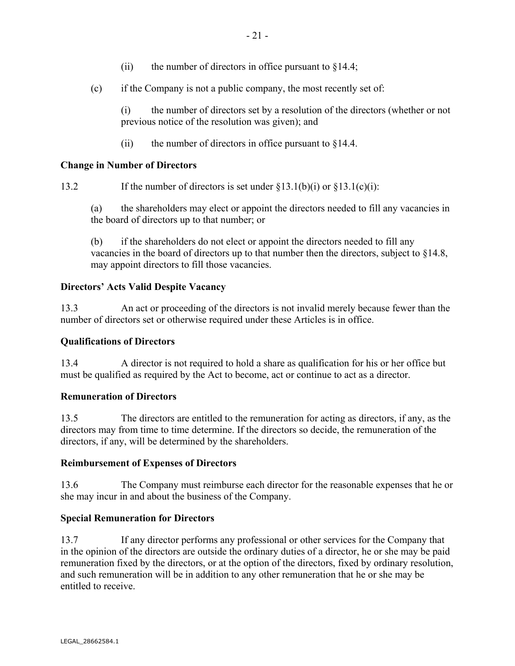- (ii) the number of directors in office pursuant to  $§14.4$ ;
- (c) if the Company is not a public company, the most recently set of:

(i) the number of directors set by a resolution of the directors (whether or not previous notice of the resolution was given); and

(ii) the number of directors in office pursuant to  $§14.4$ .

## **Change in Number of Directors**

13.2 If the number of directors is set under  $\S 13.1(b)(i)$  or  $\S 13.1(c)(i)$ :

(a) the shareholders may elect or appoint the directors needed to fill any vacancies in the board of directors up to that number; or

(b) if the shareholders do not elect or appoint the directors needed to fill any vacancies in the board of directors up to that number then the directors, subject to §14.8, may appoint directors to fill those vacancies.

## **Directors' Acts Valid Despite Vacancy**

13.3 An act or proceeding of the directors is not invalid merely because fewer than the number of directors set or otherwise required under these Articles is in office.

## **Qualifications of Directors**

13.4 A director is not required to hold a share as qualification for his or her office but must be qualified as required by the Act to become, act or continue to act as a director.

## **Remuneration of Directors**

13.5 The directors are entitled to the remuneration for acting as directors, if any, as the directors may from time to time determine. If the directors so decide, the remuneration of the directors, if any, will be determined by the shareholders.

## **Reimbursement of Expenses of Directors**

13.6 The Company must reimburse each director for the reasonable expenses that he or she may incur in and about the business of the Company.

## **Special Remuneration for Directors**

13.7 If any director performs any professional or other services for the Company that in the opinion of the directors are outside the ordinary duties of a director, he or she may be paid remuneration fixed by the directors, or at the option of the directors, fixed by ordinary resolution, and such remuneration will be in addition to any other remuneration that he or she may be entitled to receive.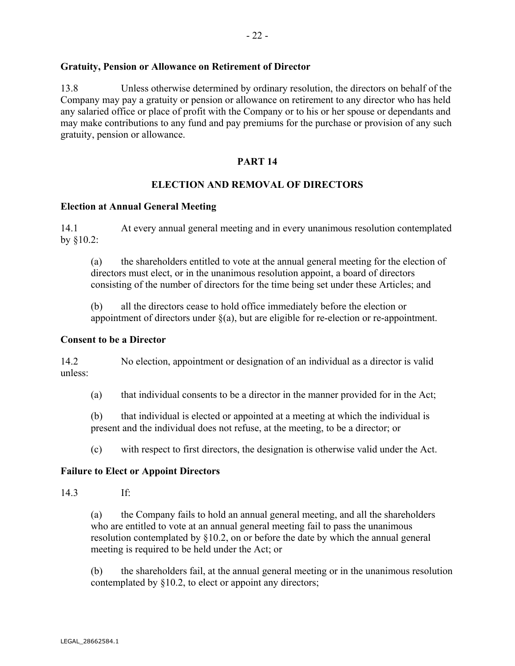## **Gratuity, Pension or Allowance on Retirement of Director**

13.8 Unless otherwise determined by ordinary resolution, the directors on behalf of the Company may pay a gratuity or pension or allowance on retirement to any director who has held any salaried office or place of profit with the Company or to his or her spouse or dependants and may make contributions to any fund and pay premiums for the purchase or provision of any such gratuity, pension or allowance.

## **PART 14**

## **ELECTION AND REMOVAL OF DIRECTORS**

#### **Election at Annual General Meeting**

14.1 At every annual general meeting and in every unanimous resolution contemplated by §10.2:

(a) the shareholders entitled to vote at the annual general meeting for the election of directors must elect, or in the unanimous resolution appoint, a board of directors consisting of the number of directors for the time being set under these Articles; and

(b) all the directors cease to hold office immediately before the election or appointment of directors under  $\S(a)$ , but are eligible for re-election or re-appointment.

#### **Consent to be a Director**

14.2 No election, appointment or designation of an individual as a director is valid unless:

(a) that individual consents to be a director in the manner provided for in the Act;

(b) that individual is elected or appointed at a meeting at which the individual is present and the individual does not refuse, at the meeting, to be a director; or

(c) with respect to first directors, the designation is otherwise valid under the Act.

## **Failure to Elect or Appoint Directors**

#### 14.3 If:

(a) the Company fails to hold an annual general meeting, and all the shareholders who are entitled to vote at an annual general meeting fail to pass the unanimous resolution contemplated by §10.2, on or before the date by which the annual general meeting is required to be held under the Act; or

(b) the shareholders fail, at the annual general meeting or in the unanimous resolution contemplated by §10.2, to elect or appoint any directors;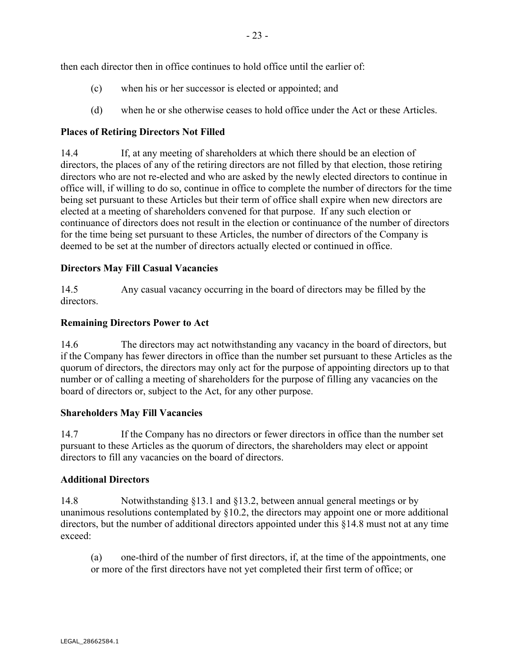- (c) when his or her successor is elected or appointed; and
- (d) when he or she otherwise ceases to hold office under the Act or these Articles.

## **Places of Retiring Directors Not Filled**

14.4 If, at any meeting of shareholders at which there should be an election of directors, the places of any of the retiring directors are not filled by that election, those retiring directors who are not re-elected and who are asked by the newly elected directors to continue in office will, if willing to do so, continue in office to complete the number of directors for the time being set pursuant to these Articles but their term of office shall expire when new directors are elected at a meeting of shareholders convened for that purpose. If any such election or continuance of directors does not result in the election or continuance of the number of directors for the time being set pursuant to these Articles, the number of directors of the Company is deemed to be set at the number of directors actually elected or continued in office.

## **Directors May Fill Casual Vacancies**

14.5 Any casual vacancy occurring in the board of directors may be filled by the directors.

## **Remaining Directors Power to Act**

14.6 The directors may act notwithstanding any vacancy in the board of directors, but if the Company has fewer directors in office than the number set pursuant to these Articles as the quorum of directors, the directors may only act for the purpose of appointing directors up to that number or of calling a meeting of shareholders for the purpose of filling any vacancies on the board of directors or, subject to the Act, for any other purpose.

## **Shareholders May Fill Vacancies**

14.7 If the Company has no directors or fewer directors in office than the number set pursuant to these Articles as the quorum of directors, the shareholders may elect or appoint directors to fill any vacancies on the board of directors.

## **Additional Directors**

14.8 Notwithstanding §13.1 and §13.2, between annual general meetings or by unanimous resolutions contemplated by §10.2, the directors may appoint one or more additional directors, but the number of additional directors appointed under this §14.8 must not at any time exceed:

(a) one-third of the number of first directors, if, at the time of the appointments, one or more of the first directors have not yet completed their first term of office; or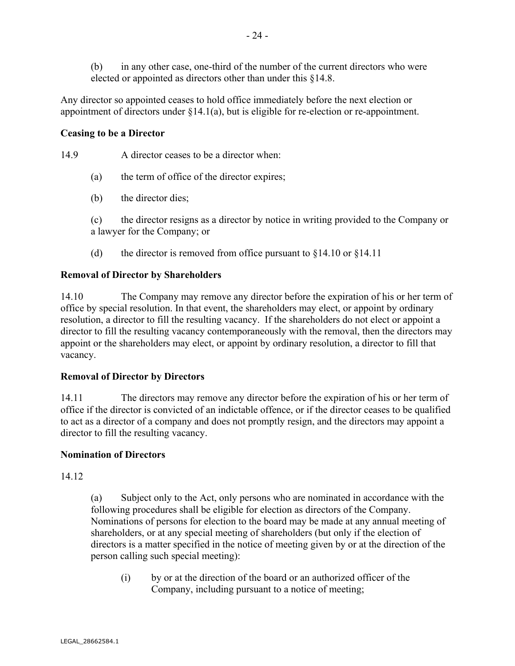(b) in any other case, one-third of the number of the current directors who were elected or appointed as directors other than under this §14.8.

Any director so appointed ceases to hold office immediately before the next election or appointment of directors under §14.1(a), but is eligible for re-election or re-appointment.

## **Ceasing to be a Director**

14.9 A director ceases to be a director when:

- (a) the term of office of the director expires;
- (b) the director dies;

(c) the director resigns as a director by notice in writing provided to the Company or a lawyer for the Company; or

(d) the director is removed from office pursuant to  $§14.10$  or  $§14.11$ 

## **Removal of Director by Shareholders**

14.10 The Company may remove any director before the expiration of his or her term of office by special resolution. In that event, the shareholders may elect, or appoint by ordinary resolution, a director to fill the resulting vacancy. If the shareholders do not elect or appoint a director to fill the resulting vacancy contemporaneously with the removal, then the directors may appoint or the shareholders may elect, or appoint by ordinary resolution, a director to fill that vacancy.

## **Removal of Director by Directors**

14.11 The directors may remove any director before the expiration of his or her term of office if the director is convicted of an indictable offence, or if the director ceases to be qualified to act as a director of a company and does not promptly resign, and the directors may appoint a director to fill the resulting vacancy.

## **Nomination of Directors**

14.12

(a) Subject only to the Act, only persons who are nominated in accordance with the following procedures shall be eligible for election as directors of the Company. Nominations of persons for election to the board may be made at any annual meeting of shareholders, or at any special meeting of shareholders (but only if the election of directors is a matter specified in the notice of meeting given by or at the direction of the person calling such special meeting):

(i) by or at the direction of the board or an authorized officer of the Company, including pursuant to a notice of meeting;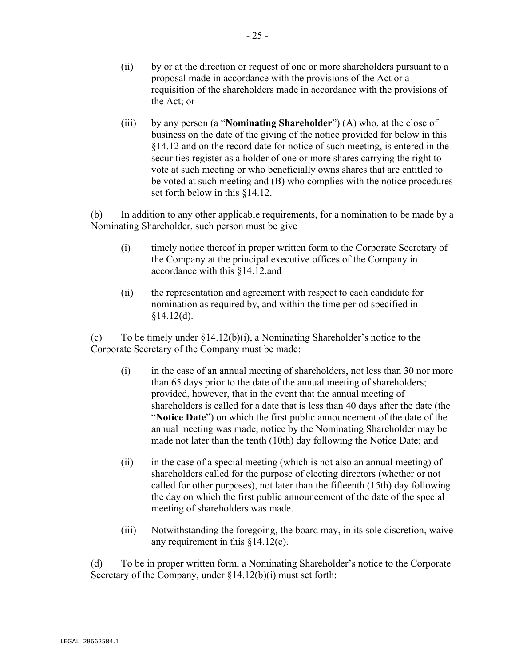- (ii) by or at the direction or request of one or more shareholders pursuant to a proposal made in accordance with the provisions of the Act or a requisition of the shareholders made in accordance with the provisions of the Act; or
- (iii) by any person (a "**Nominating Shareholder**") (A) who, at the close of business on the date of the giving of the notice provided for below in this §14.12 and on the record date for notice of such meeting, is entered in the securities register as a holder of one or more shares carrying the right to vote at such meeting or who beneficially owns shares that are entitled to be voted at such meeting and (B) who complies with the notice procedures set forth below in this §14.12.

(b) In addition to any other applicable requirements, for a nomination to be made by a Nominating Shareholder, such person must be give

- (i) timely notice thereof in proper written form to the Corporate Secretary of the Company at the principal executive offices of the Company in accordance with this §14.12.and
- (ii) the representation and agreement with respect to each candidate for nomination as required by, and within the time period specified in  $§14.12(d).$

(c) To be timely under §14.12(b)(i), a Nominating Shareholder's notice to the Corporate Secretary of the Company must be made:

- (i) in the case of an annual meeting of shareholders, not less than 30 nor more than 65 days prior to the date of the annual meeting of shareholders; provided, however, that in the event that the annual meeting of shareholders is called for a date that is less than 40 days after the date (the "**Notice Date**") on which the first public announcement of the date of the annual meeting was made, notice by the Nominating Shareholder may be made not later than the tenth (10th) day following the Notice Date; and
- (ii) in the case of a special meeting (which is not also an annual meeting) of shareholders called for the purpose of electing directors (whether or not called for other purposes), not later than the fifteenth (15th) day following the day on which the first public announcement of the date of the special meeting of shareholders was made.
- (iii) Notwithstanding the foregoing, the board may, in its sole discretion, waive any requirement in this §14.12(c).

(d) To be in proper written form, a Nominating Shareholder's notice to the Corporate Secretary of the Company, under §14.12(b)(i) must set forth: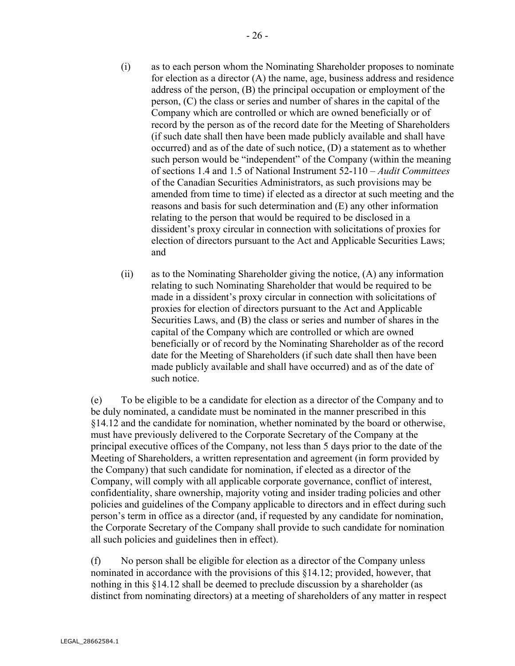- (i) as to each person whom the Nominating Shareholder proposes to nominate for election as a director (A) the name, age, business address and residence address of the person, (B) the principal occupation or employment of the person, (C) the class or series and number of shares in the capital of the Company which are controlled or which are owned beneficially or of record by the person as of the record date for the Meeting of Shareholders (if such date shall then have been made publicly available and shall have occurred) and as of the date of such notice, (D) a statement as to whether such person would be "independent" of the Company (within the meaning of sections 1.4 and 1.5 of National Instrument 52-110 – *Audit Committees* of the Canadian Securities Administrators, as such provisions may be amended from time to time) if elected as a director at such meeting and the reasons and basis for such determination and (E) any other information relating to the person that would be required to be disclosed in a dissident's proxy circular in connection with solicitations of proxies for election of directors pursuant to the Act and Applicable Securities Laws; and
- (ii) as to the Nominating Shareholder giving the notice, (A) any information relating to such Nominating Shareholder that would be required to be made in a dissident's proxy circular in connection with solicitations of proxies for election of directors pursuant to the Act and Applicable Securities Laws, and (B) the class or series and number of shares in the capital of the Company which are controlled or which are owned beneficially or of record by the Nominating Shareholder as of the record date for the Meeting of Shareholders (if such date shall then have been made publicly available and shall have occurred) and as of the date of such notice.

(e) To be eligible to be a candidate for election as a director of the Company and to be duly nominated, a candidate must be nominated in the manner prescribed in this §14.12 and the candidate for nomination, whether nominated by the board or otherwise, must have previously delivered to the Corporate Secretary of the Company at the principal executive offices of the Company, not less than 5 days prior to the date of the Meeting of Shareholders, a written representation and agreement (in form provided by the Company) that such candidate for nomination, if elected as a director of the Company, will comply with all applicable corporate governance, conflict of interest, confidentiality, share ownership, majority voting and insider trading policies and other policies and guidelines of the Company applicable to directors and in effect during such person's term in office as a director (and, if requested by any candidate for nomination, the Corporate Secretary of the Company shall provide to such candidate for nomination all such policies and guidelines then in effect).

(f) No person shall be eligible for election as a director of the Company unless nominated in accordance with the provisions of this §14.12; provided, however, that nothing in this §14.12 shall be deemed to preclude discussion by a shareholder (as distinct from nominating directors) at a meeting of shareholders of any matter in respect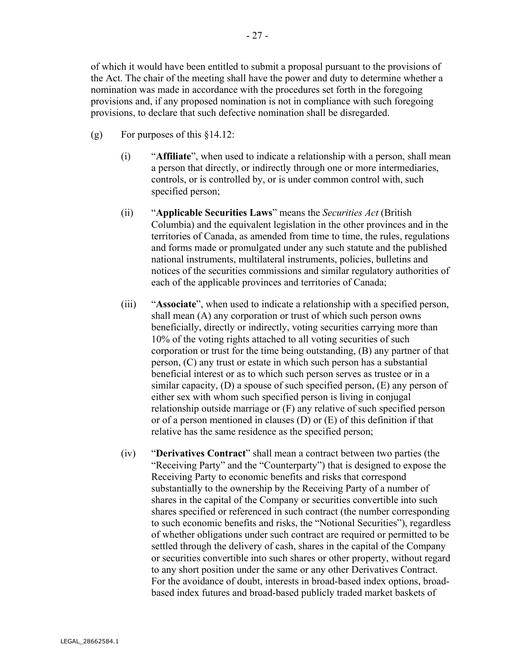of which it would have been entitled to submit a proposal pursuant to the provisions of the Act. The chair of the meeting shall have the power and duty to determine whether a nomination was made in accordance with the procedures set forth in the foregoing provisions and, if any proposed nomination is not in compliance with such foregoing provisions, to declare that such defective nomination shall be disregarded.

- (g) For purposes of this  $§14.12$ :
	- (i) "**Affiliate**", when used to indicate a relationship with a person, shall mean a person that directly, or indirectly through one or more intermediaries, controls, or is controlled by, or is under common control with, such specified person;
	- (ii) "**Applicable Securities Laws**" means the *Securities Act* (British Columbia) and the equivalent legislation in the other provinces and in the territories of Canada, as amended from time to time, the rules, regulations and forms made or promulgated under any such statute and the published national instruments, multilateral instruments, policies, bulletins and notices of the securities commissions and similar regulatory authorities of each of the applicable provinces and territories of Canada;
	- (iii) "**Associate**", when used to indicate a relationship with a specified person, shall mean (A) any corporation or trust of which such person owns beneficially, directly or indirectly, voting securities carrying more than 10% of the voting rights attached to all voting securities of such corporation or trust for the time being outstanding, (B) any partner of that person, (C) any trust or estate in which such person has a substantial beneficial interest or as to which such person serves as trustee or in a similar capacity, (D) a spouse of such specified person, (E) any person of either sex with whom such specified person is living in conjugal relationship outside marriage or (F) any relative of such specified person or of a person mentioned in clauses (D) or (E) of this definition if that relative has the same residence as the specified person;
	- (iv) "**Derivatives Contract**" shall mean a contract between two parties (the "Receiving Party" and the "Counterparty") that is designed to expose the Receiving Party to economic benefits and risks that correspond substantially to the ownership by the Receiving Party of a number of shares in the capital of the Company or securities convertible into such shares specified or referenced in such contract (the number corresponding to such economic benefits and risks, the "Notional Securities"), regardless of whether obligations under such contract are required or permitted to be settled through the delivery of cash, shares in the capital of the Company or securities convertible into such shares or other property, without regard to any short position under the same or any other Derivatives Contract. For the avoidance of doubt, interests in broad-based index options, broadbased index futures and broad-based publicly traded market baskets of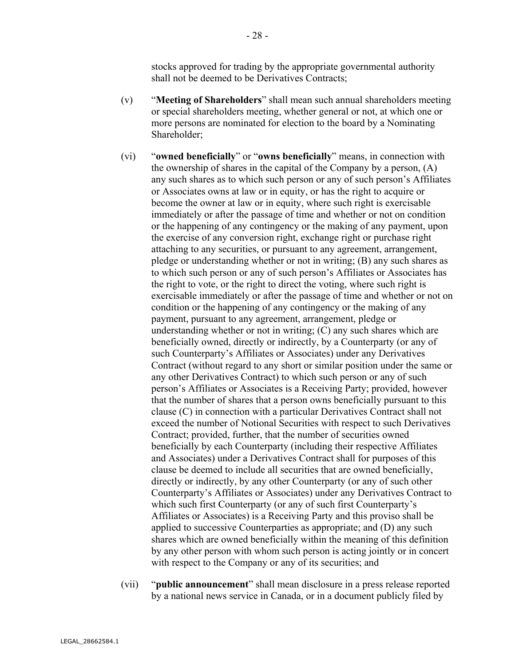stocks approved for trading by the appropriate governmental authority shall not be deemed to be Derivatives Contracts;

- (v) "**Meeting of Shareholders**" shall mean such annual shareholders meeting or special shareholders meeting, whether general or not, at which one or more persons are nominated for election to the board by a Nominating Shareholder;
- (vi) "**owned beneficially**" or "**owns beneficially**" means, in connection with the ownership of shares in the capital of the Company by a person, (A) any such shares as to which such person or any of such person's Affiliates or Associates owns at law or in equity, or has the right to acquire or become the owner at law or in equity, where such right is exercisable immediately or after the passage of time and whether or not on condition or the happening of any contingency or the making of any payment, upon the exercise of any conversion right, exchange right or purchase right attaching to any securities, or pursuant to any agreement, arrangement, pledge or understanding whether or not in writing; (B) any such shares as to which such person or any of such person's Affiliates or Associates has the right to vote, or the right to direct the voting, where such right is exercisable immediately or after the passage of time and whether or not on condition or the happening of any contingency or the making of any payment, pursuant to any agreement, arrangement, pledge or understanding whether or not in writing; (C) any such shares which are beneficially owned, directly or indirectly, by a Counterparty (or any of such Counterparty's Affiliates or Associates) under any Derivatives Contract (without regard to any short or similar position under the same or any other Derivatives Contract) to which such person or any of such person's Affiliates or Associates is a Receiving Party; provided, however that the number of shares that a person owns beneficially pursuant to this clause (C) in connection with a particular Derivatives Contract shall not exceed the number of Notional Securities with respect to such Derivatives Contract; provided, further, that the number of securities owned beneficially by each Counterparty (including their respective Affiliates and Associates) under a Derivatives Contract shall for purposes of this clause be deemed to include all securities that are owned beneficially, directly or indirectly, by any other Counterparty (or any of such other Counterparty's Affiliates or Associates) under any Derivatives Contract to which such first Counterparty (or any of such first Counterparty's Affiliates or Associates) is a Receiving Party and this proviso shall be applied to successive Counterparties as appropriate; and (D) any such shares which are owned beneficially within the meaning of this definition by any other person with whom such person is acting jointly or in concert with respect to the Company or any of its securities; and
- (vii) "**public announcement**" shall mean disclosure in a press release reported by a national news service in Canada, or in a document publicly filed by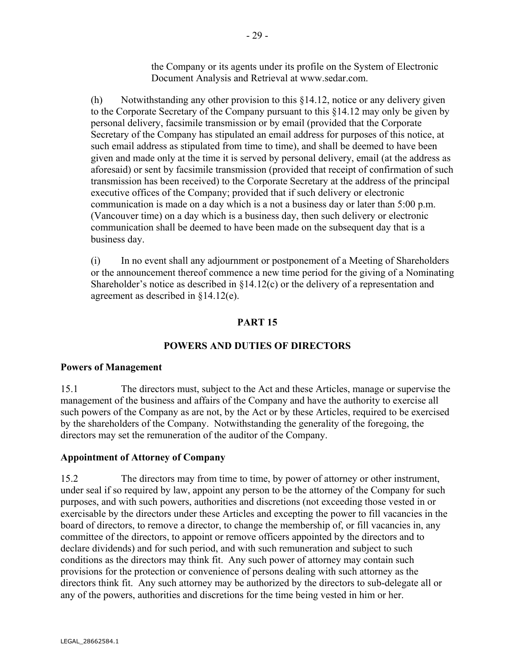the Company or its agents under its profile on the System of Electronic Document Analysis and Retrieval at www.sedar.com.

(h) Notwithstanding any other provision to this §14.12, notice or any delivery given to the Corporate Secretary of the Company pursuant to this §14.12 may only be given by personal delivery, facsimile transmission or by email (provided that the Corporate Secretary of the Company has stipulated an email address for purposes of this notice, at such email address as stipulated from time to time), and shall be deemed to have been given and made only at the time it is served by personal delivery, email (at the address as aforesaid) or sent by facsimile transmission (provided that receipt of confirmation of such transmission has been received) to the Corporate Secretary at the address of the principal executive offices of the Company; provided that if such delivery or electronic communication is made on a day which is a not a business day or later than 5:00 p.m. (Vancouver time) on a day which is a business day, then such delivery or electronic communication shall be deemed to have been made on the subsequent day that is a business day.

(i) In no event shall any adjournment or postponement of a Meeting of Shareholders or the announcement thereof commence a new time period for the giving of a Nominating Shareholder's notice as described in §14.12(c) or the delivery of a representation and agreement as described in §14.12(e).

#### **PART 15**

#### **POWERS AND DUTIES OF DIRECTORS**

#### **Powers of Management**

15.1 The directors must, subject to the Act and these Articles, manage or supervise the management of the business and affairs of the Company and have the authority to exercise all such powers of the Company as are not, by the Act or by these Articles, required to be exercised by the shareholders of the Company. Notwithstanding the generality of the foregoing, the directors may set the remuneration of the auditor of the Company.

#### **Appointment of Attorney of Company**

15.2 The directors may from time to time, by power of attorney or other instrument, under seal if so required by law, appoint any person to be the attorney of the Company for such purposes, and with such powers, authorities and discretions (not exceeding those vested in or exercisable by the directors under these Articles and excepting the power to fill vacancies in the board of directors, to remove a director, to change the membership of, or fill vacancies in, any committee of the directors, to appoint or remove officers appointed by the directors and to declare dividends) and for such period, and with such remuneration and subject to such conditions as the directors may think fit. Any such power of attorney may contain such provisions for the protection or convenience of persons dealing with such attorney as the directors think fit. Any such attorney may be authorized by the directors to sub-delegate all or any of the powers, authorities and discretions for the time being vested in him or her.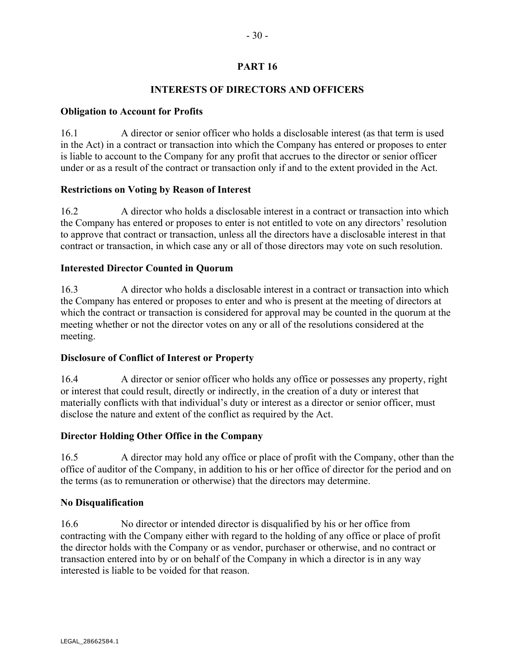# **PART 16**

## **INTERESTS OF DIRECTORS AND OFFICERS**

## **Obligation to Account for Profits**

16.1 A director or senior officer who holds a disclosable interest (as that term is used in the Act) in a contract or transaction into which the Company has entered or proposes to enter is liable to account to the Company for any profit that accrues to the director or senior officer under or as a result of the contract or transaction only if and to the extent provided in the Act.

## **Restrictions on Voting by Reason of Interest**

16.2 A director who holds a disclosable interest in a contract or transaction into which the Company has entered or proposes to enter is not entitled to vote on any directors' resolution to approve that contract or transaction, unless all the directors have a disclosable interest in that contract or transaction, in which case any or all of those directors may vote on such resolution.

## **Interested Director Counted in Quorum**

16.3 A director who holds a disclosable interest in a contract or transaction into which the Company has entered or proposes to enter and who is present at the meeting of directors at which the contract or transaction is considered for approval may be counted in the quorum at the meeting whether or not the director votes on any or all of the resolutions considered at the meeting.

## **Disclosure of Conflict of Interest or Property**

16.4 A director or senior officer who holds any office or possesses any property, right or interest that could result, directly or indirectly, in the creation of a duty or interest that materially conflicts with that individual's duty or interest as a director or senior officer, must disclose the nature and extent of the conflict as required by the Act.

## **Director Holding Other Office in the Company**

16.5 A director may hold any office or place of profit with the Company, other than the office of auditor of the Company, in addition to his or her office of director for the period and on the terms (as to remuneration or otherwise) that the directors may determine.

## **No Disqualification**

16.6 No director or intended director is disqualified by his or her office from contracting with the Company either with regard to the holding of any office or place of profit the director holds with the Company or as vendor, purchaser or otherwise, and no contract or transaction entered into by or on behalf of the Company in which a director is in any way interested is liable to be voided for that reason.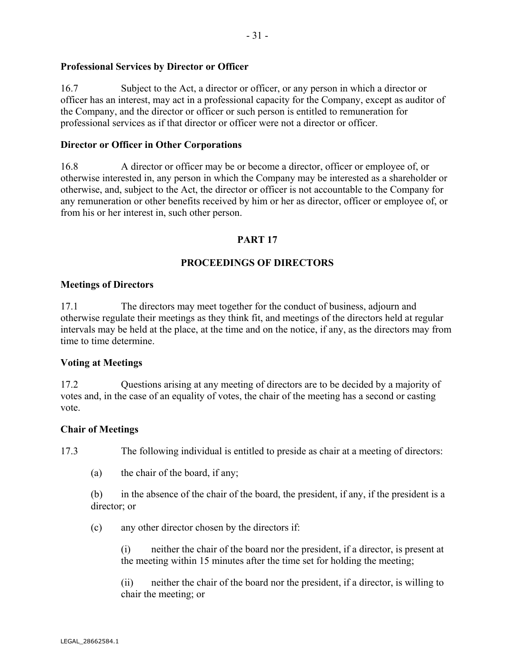## **Professional Services by Director or Officer**

16.7 Subject to the Act, a director or officer, or any person in which a director or officer has an interest, may act in a professional capacity for the Company, except as auditor of the Company, and the director or officer or such person is entitled to remuneration for professional services as if that director or officer were not a director or officer.

#### **Director or Officer in Other Corporations**

16.8 A director or officer may be or become a director, officer or employee of, or otherwise interested in, any person in which the Company may be interested as a shareholder or otherwise, and, subject to the Act, the director or officer is not accountable to the Company for any remuneration or other benefits received by him or her as director, officer or employee of, or from his or her interest in, such other person.

#### **PART 17**

#### **PROCEEDINGS OF DIRECTORS**

#### **Meetings of Directors**

17.1 The directors may meet together for the conduct of business, adjourn and otherwise regulate their meetings as they think fit, and meetings of the directors held at regular intervals may be held at the place, at the time and on the notice, if any, as the directors may from time to time determine.

## **Voting at Meetings**

17.2 Questions arising at any meeting of directors are to be decided by a majority of votes and, in the case of an equality of votes, the chair of the meeting has a second or casting vote.

#### **Chair of Meetings**

17.3 The following individual is entitled to preside as chair at a meeting of directors:

(a) the chair of the board, if any;

(b) in the absence of the chair of the board, the president, if any, if the president is a director; or

(c) any other director chosen by the directors if:

(i) neither the chair of the board nor the president, if a director, is present at the meeting within 15 minutes after the time set for holding the meeting;

(ii) neither the chair of the board nor the president, if a director, is willing to chair the meeting; or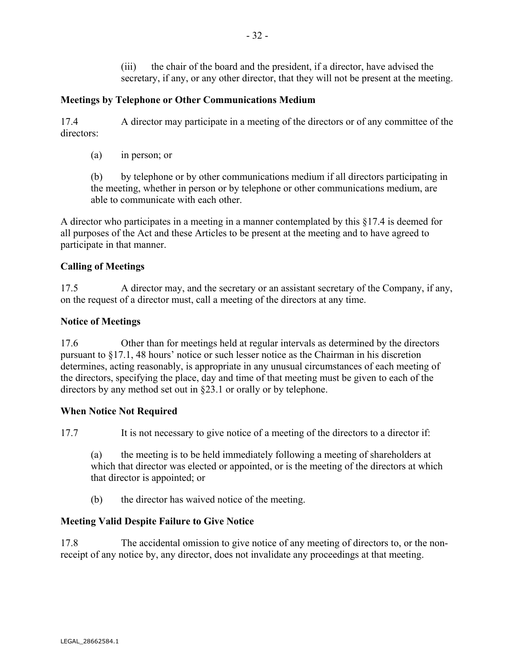(iii) the chair of the board and the president, if a director, have advised the secretary, if any, or any other director, that they will not be present at the meeting.

## **Meetings by Telephone or Other Communications Medium**

17.4 A director may participate in a meeting of the directors or of any committee of the directors:

(a) in person; or

(b) by telephone or by other communications medium if all directors participating in the meeting, whether in person or by telephone or other communications medium, are able to communicate with each other.

A director who participates in a meeting in a manner contemplated by this §17.4 is deemed for all purposes of the Act and these Articles to be present at the meeting and to have agreed to participate in that manner.

## **Calling of Meetings**

17.5 A director may, and the secretary or an assistant secretary of the Company, if any, on the request of a director must, call a meeting of the directors at any time.

## **Notice of Meetings**

17.6 Other than for meetings held at regular intervals as determined by the directors pursuant to §17.1, 48 hours' notice or such lesser notice as the Chairman in his discretion determines, acting reasonably, is appropriate in any unusual circumstances of each meeting of the directors, specifying the place, day and time of that meeting must be given to each of the directors by any method set out in §23.1 or orally or by telephone.

## **When Notice Not Required**

17.7 It is not necessary to give notice of a meeting of the directors to a director if:

(a) the meeting is to be held immediately following a meeting of shareholders at which that director was elected or appointed, or is the meeting of the directors at which that director is appointed; or

(b) the director has waived notice of the meeting.

## **Meeting Valid Despite Failure to Give Notice**

17.8 The accidental omission to give notice of any meeting of directors to, or the nonreceipt of any notice by, any director, does not invalidate any proceedings at that meeting.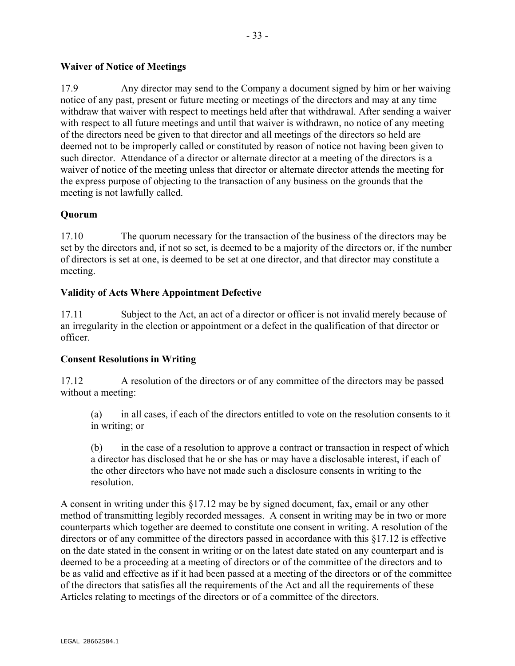## **Waiver of Notice of Meetings**

17.9 Any director may send to the Company a document signed by him or her waiving notice of any past, present or future meeting or meetings of the directors and may at any time withdraw that waiver with respect to meetings held after that withdrawal. After sending a waiver with respect to all future meetings and until that waiver is withdrawn, no notice of any meeting of the directors need be given to that director and all meetings of the directors so held are deemed not to be improperly called or constituted by reason of notice not having been given to such director. Attendance of a director or alternate director at a meeting of the directors is a waiver of notice of the meeting unless that director or alternate director attends the meeting for the express purpose of objecting to the transaction of any business on the grounds that the meeting is not lawfully called.

## **Quorum**

17.10 The quorum necessary for the transaction of the business of the directors may be set by the directors and, if not so set, is deemed to be a majority of the directors or, if the number of directors is set at one, is deemed to be set at one director, and that director may constitute a meeting.

## **Validity of Acts Where Appointment Defective**

17.11 Subject to the Act, an act of a director or officer is not invalid merely because of an irregularity in the election or appointment or a defect in the qualification of that director or officer.

## **Consent Resolutions in Writing**

17.12 A resolution of the directors or of any committee of the directors may be passed without a meeting:

(a) in all cases, if each of the directors entitled to vote on the resolution consents to it in writing; or

(b) in the case of a resolution to approve a contract or transaction in respect of which a director has disclosed that he or she has or may have a disclosable interest, if each of the other directors who have not made such a disclosure consents in writing to the resolution.

A consent in writing under this §17.12 may be by signed document, fax, email or any other method of transmitting legibly recorded messages. A consent in writing may be in two or more counterparts which together are deemed to constitute one consent in writing. A resolution of the directors or of any committee of the directors passed in accordance with this §17.12 is effective on the date stated in the consent in writing or on the latest date stated on any counterpart and is deemed to be a proceeding at a meeting of directors or of the committee of the directors and to be as valid and effective as if it had been passed at a meeting of the directors or of the committee of the directors that satisfies all the requirements of the Act and all the requirements of these Articles relating to meetings of the directors or of a committee of the directors.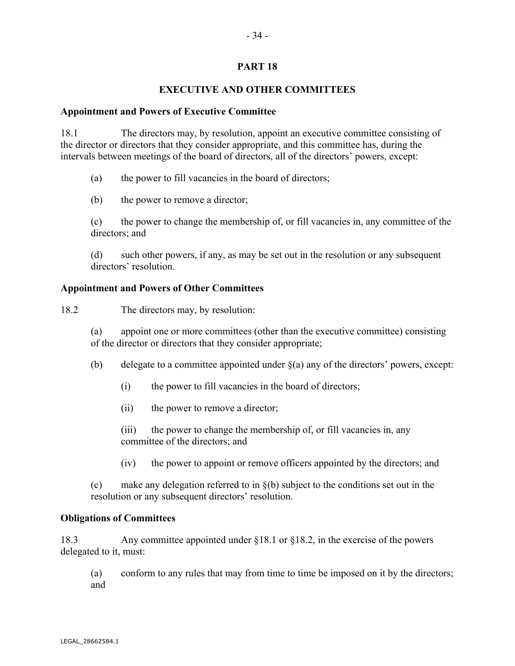## **PART 18**

## **EXECUTIVE AND OTHER COMMITTEES**

#### **Appointment and Powers of Executive Committee**

18.1 The directors may, by resolution, appoint an executive committee consisting of the director or directors that they consider appropriate, and this committee has, during the intervals between meetings of the board of directors, all of the directors' powers, except:

- (a) the power to fill vacancies in the board of directors;
- (b) the power to remove a director;

(c) the power to change the membership of, or fill vacancies in, any committee of the directors; and

(d) such other powers, if any, as may be set out in the resolution or any subsequent directors' resolution.

## **Appointment and Powers of Other Committees**

18.2 The directors may, by resolution:

(a) appoint one or more committees (other than the executive committee) consisting of the director or directors that they consider appropriate;

- (b) delegate to a committee appointed under  $\S(a)$  any of the directors' powers, except:
	- (i) the power to fill vacancies in the board of directors;
	- (ii) the power to remove a director;

(iii) the power to change the membership of, or fill vacancies in, any committee of the directors; and

(iv) the power to appoint or remove officers appointed by the directors; and

(c) make any delegation referred to in §(b) subject to the conditions set out in the resolution or any subsequent directors' resolution.

## **Obligations of Committees**

18.3 Any committee appointed under §18.1 or §18.2, in the exercise of the powers delegated to it, must:

(a) conform to any rules that may from time to time be imposed on it by the directors; and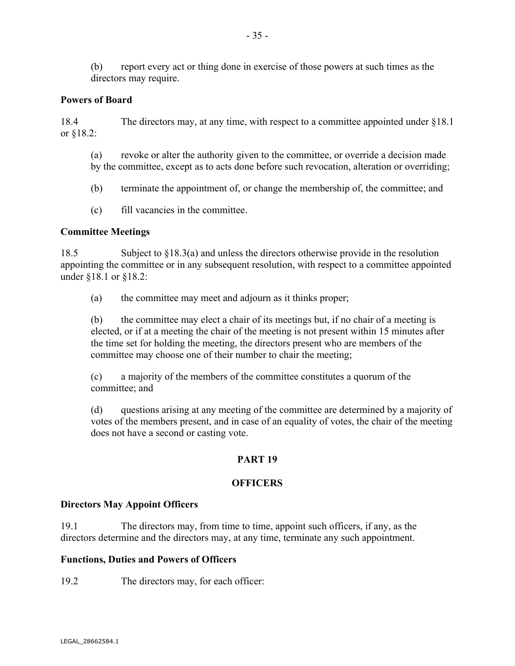(b) report every act or thing done in exercise of those powers at such times as the directors may require.

## **Powers of Board**

18.4 The directors may, at any time, with respect to a committee appointed under §18.1 or §18.2:

(a) revoke or alter the authority given to the committee, or override a decision made by the committee, except as to acts done before such revocation, alteration or overriding;

(b) terminate the appointment of, or change the membership of, the committee; and

(c) fill vacancies in the committee.

## **Committee Meetings**

18.5 Subject to §18.3(a) and unless the directors otherwise provide in the resolution appointing the committee or in any subsequent resolution, with respect to a committee appointed under §18.1 or §18.2:

(a) the committee may meet and adjourn as it thinks proper;

(b) the committee may elect a chair of its meetings but, if no chair of a meeting is elected, or if at a meeting the chair of the meeting is not present within 15 minutes after the time set for holding the meeting, the directors present who are members of the committee may choose one of their number to chair the meeting;

(c) a majority of the members of the committee constitutes a quorum of the committee; and

(d) questions arising at any meeting of the committee are determined by a majority of votes of the members present, and in case of an equality of votes, the chair of the meeting does not have a second or casting vote.

## **PART 19**

## **OFFICERS**

## **Directors May Appoint Officers**

19.1 The directors may, from time to time, appoint such officers, if any, as the directors determine and the directors may, at any time, terminate any such appointment.

## **Functions, Duties and Powers of Officers**

19.2 The directors may, for each officer: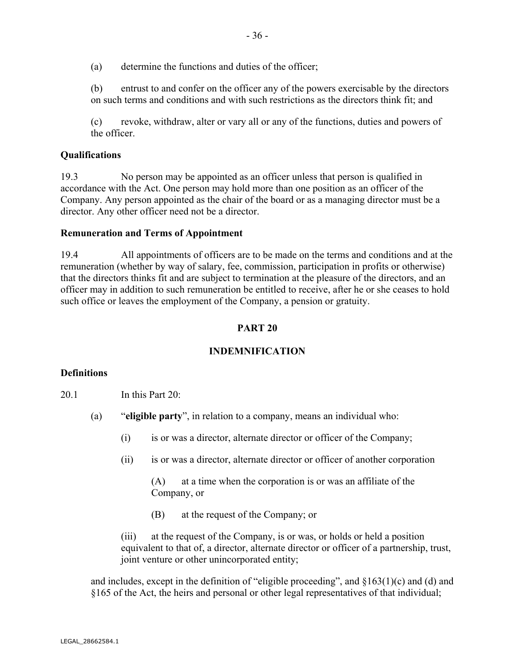(a) determine the functions and duties of the officer;

(b) entrust to and confer on the officer any of the powers exercisable by the directors on such terms and conditions and with such restrictions as the directors think fit; and

(c) revoke, withdraw, alter or vary all or any of the functions, duties and powers of the officer.

#### **Qualifications**

19.3 No person may be appointed as an officer unless that person is qualified in accordance with the Act. One person may hold more than one position as an officer of the Company. Any person appointed as the chair of the board or as a managing director must be a director. Any other officer need not be a director.

#### **Remuneration and Terms of Appointment**

19.4 All appointments of officers are to be made on the terms and conditions and at the remuneration (whether by way of salary, fee, commission, participation in profits or otherwise) that the directors thinks fit and are subject to termination at the pleasure of the directors, and an officer may in addition to such remuneration be entitled to receive, after he or she ceases to hold such office or leaves the employment of the Company, a pension or gratuity.

#### **PART 20**

## **INDEMNIFICATION**

#### **Definitions**

#### 20.1 In this Part 20:

- (a) "**eligible party**", in relation to a company, means an individual who:
	- (i) is or was a director, alternate director or officer of the Company;
	- (ii) is or was a director, alternate director or officer of another corporation

(A) at a time when the corporation is or was an affiliate of the Company, or

(B) at the request of the Company; or

(iii) at the request of the Company, is or was, or holds or held a position equivalent to that of, a director, alternate director or officer of a partnership, trust, joint venture or other unincorporated entity;

and includes, except in the definition of "eligible proceeding", and  $\S163(1)(c)$  and (d) and §165 of the Act, the heirs and personal or other legal representatives of that individual;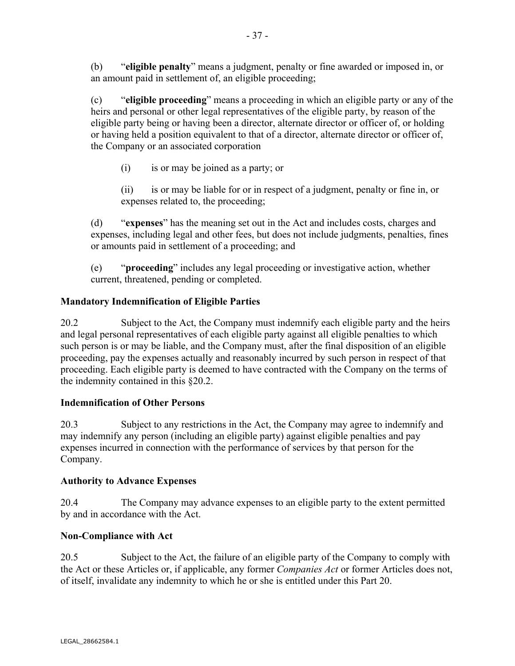(b) "**eligible penalty**" means a judgment, penalty or fine awarded or imposed in, or an amount paid in settlement of, an eligible proceeding;

(c) "**eligible proceeding**" means a proceeding in which an eligible party or any of the heirs and personal or other legal representatives of the eligible party, by reason of the eligible party being or having been a director, alternate director or officer of, or holding or having held a position equivalent to that of a director, alternate director or officer of, the Company or an associated corporation

(i) is or may be joined as a party; or

(ii) is or may be liable for or in respect of a judgment, penalty or fine in, or expenses related to, the proceeding;

(d) "**expenses**" has the meaning set out in the Act and includes costs, charges and expenses, including legal and other fees, but does not include judgments, penalties, fines or amounts paid in settlement of a proceeding; and

(e) "**proceeding**" includes any legal proceeding or investigative action, whether current, threatened, pending or completed.

## **Mandatory Indemnification of Eligible Parties**

20.2 Subject to the Act, the Company must indemnify each eligible party and the heirs and legal personal representatives of each eligible party against all eligible penalties to which such person is or may be liable, and the Company must, after the final disposition of an eligible proceeding, pay the expenses actually and reasonably incurred by such person in respect of that proceeding. Each eligible party is deemed to have contracted with the Company on the terms of the indemnity contained in this §20.2.

## **Indemnification of Other Persons**

20.3 Subject to any restrictions in the Act, the Company may agree to indemnify and may indemnify any person (including an eligible party) against eligible penalties and pay expenses incurred in connection with the performance of services by that person for the Company.

## **Authority to Advance Expenses**

20.4 The Company may advance expenses to an eligible party to the extent permitted by and in accordance with the Act.

## **Non-Compliance with Act**

20.5 Subject to the Act, the failure of an eligible party of the Company to comply with the Act or these Articles or, if applicable, any former *Companies Act* or former Articles does not, of itself, invalidate any indemnity to which he or she is entitled under this Part 20.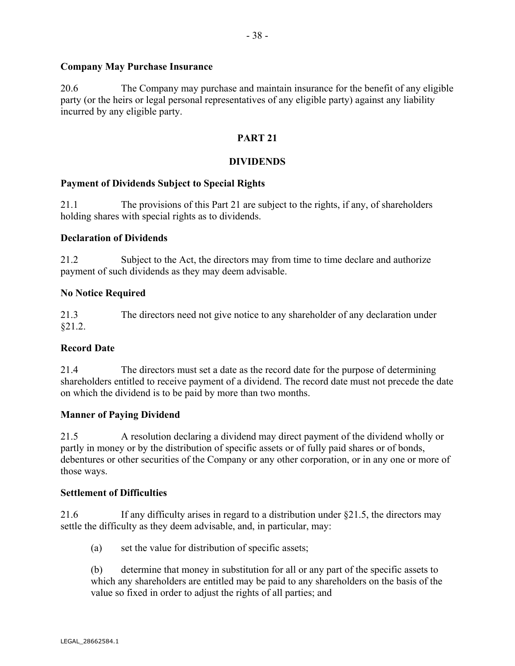## **Company May Purchase Insurance**

20.6 The Company may purchase and maintain insurance for the benefit of any eligible party (or the heirs or legal personal representatives of any eligible party) against any liability incurred by any eligible party.

## **PART 21**

## **DIVIDENDS**

## **Payment of Dividends Subject to Special Rights**

21.1 The provisions of this Part 21 are subject to the rights, if any, of shareholders holding shares with special rights as to dividends.

## **Declaration of Dividends**

21.2 Subject to the Act, the directors may from time to time declare and authorize payment of such dividends as they may deem advisable.

## **No Notice Required**

21.3 The directors need not give notice to any shareholder of any declaration under §21.2.

## **Record Date**

21.4 The directors must set a date as the record date for the purpose of determining shareholders entitled to receive payment of a dividend. The record date must not precede the date on which the dividend is to be paid by more than two months.

## **Manner of Paying Dividend**

21.5 A resolution declaring a dividend may direct payment of the dividend wholly or partly in money or by the distribution of specific assets or of fully paid shares or of bonds, debentures or other securities of the Company or any other corporation, or in any one or more of those ways.

## **Settlement of Difficulties**

21.6 If any difficulty arises in regard to a distribution under §21.5, the directors may settle the difficulty as they deem advisable, and, in particular, may:

(a) set the value for distribution of specific assets;

(b) determine that money in substitution for all or any part of the specific assets to which any shareholders are entitled may be paid to any shareholders on the basis of the value so fixed in order to adjust the rights of all parties; and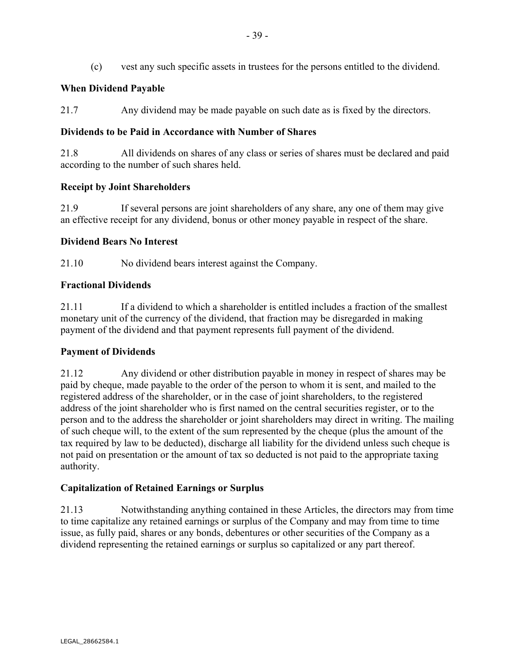(c) vest any such specific assets in trustees for the persons entitled to the dividend.

## **When Dividend Payable**

21.7 Any dividend may be made payable on such date as is fixed by the directors.

## **Dividends to be Paid in Accordance with Number of Shares**

21.8 All dividends on shares of any class or series of shares must be declared and paid according to the number of such shares held.

# **Receipt by Joint Shareholders**

21.9 If several persons are joint shareholders of any share, any one of them may give an effective receipt for any dividend, bonus or other money payable in respect of the share.

# **Dividend Bears No Interest**

21.10 No dividend bears interest against the Company.

# **Fractional Dividends**

21.11 If a dividend to which a shareholder is entitled includes a fraction of the smallest monetary unit of the currency of the dividend, that fraction may be disregarded in making payment of the dividend and that payment represents full payment of the dividend.

# **Payment of Dividends**

21.12 Any dividend or other distribution payable in money in respect of shares may be paid by cheque, made payable to the order of the person to whom it is sent, and mailed to the registered address of the shareholder, or in the case of joint shareholders, to the registered address of the joint shareholder who is first named on the central securities register, or to the person and to the address the shareholder or joint shareholders may direct in writing. The mailing of such cheque will, to the extent of the sum represented by the cheque (plus the amount of the tax required by law to be deducted), discharge all liability for the dividend unless such cheque is not paid on presentation or the amount of tax so deducted is not paid to the appropriate taxing authority.

# **Capitalization of Retained Earnings or Surplus**

21.13 Notwithstanding anything contained in these Articles, the directors may from time to time capitalize any retained earnings or surplus of the Company and may from time to time issue, as fully paid, shares or any bonds, debentures or other securities of the Company as a dividend representing the retained earnings or surplus so capitalized or any part thereof.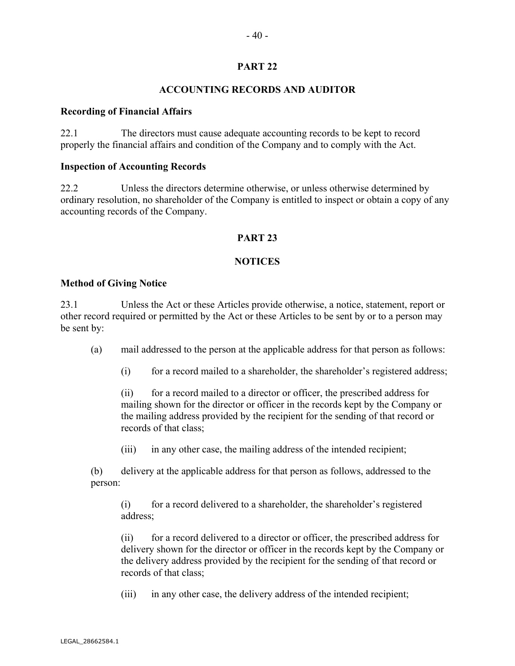## **PART 22**

## **ACCOUNTING RECORDS AND AUDITOR**

#### **Recording of Financial Affairs**

22.1 The directors must cause adequate accounting records to be kept to record properly the financial affairs and condition of the Company and to comply with the Act.

#### **Inspection of Accounting Records**

22.2 Unless the directors determine otherwise, or unless otherwise determined by ordinary resolution, no shareholder of the Company is entitled to inspect or obtain a copy of any accounting records of the Company.

## **PART 23**

## **NOTICES**

#### **Method of Giving Notice**

23.1 Unless the Act or these Articles provide otherwise, a notice, statement, report or other record required or permitted by the Act or these Articles to be sent by or to a person may be sent by:

(a) mail addressed to the person at the applicable address for that person as follows:

(i) for a record mailed to a shareholder, the shareholder's registered address;

(ii) for a record mailed to a director or officer, the prescribed address for mailing shown for the director or officer in the records kept by the Company or the mailing address provided by the recipient for the sending of that record or records of that class;

(iii) in any other case, the mailing address of the intended recipient;

(b) delivery at the applicable address for that person as follows, addressed to the person:

(i) for a record delivered to a shareholder, the shareholder's registered address;

(ii) for a record delivered to a director or officer, the prescribed address for delivery shown for the director or officer in the records kept by the Company or the delivery address provided by the recipient for the sending of that record or records of that class;

(iii) in any other case, the delivery address of the intended recipient;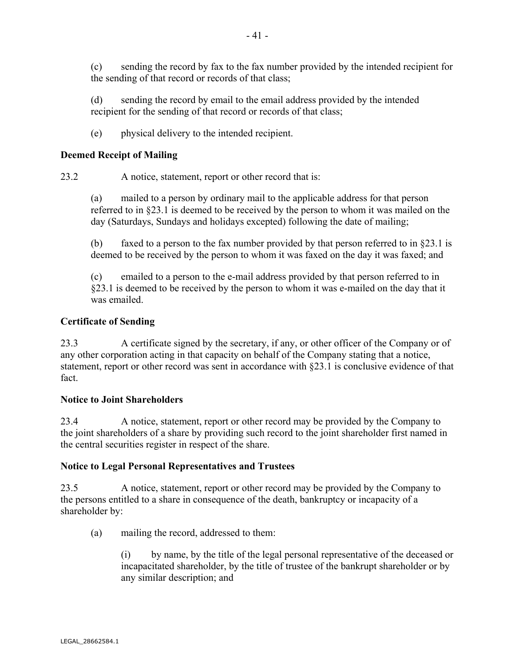(c) sending the record by fax to the fax number provided by the intended recipient for the sending of that record or records of that class;

(d) sending the record by email to the email address provided by the intended recipient for the sending of that record or records of that class;

(e) physical delivery to the intended recipient.

## **Deemed Receipt of Mailing**

23.2 A notice, statement, report or other record that is:

(a) mailed to a person by ordinary mail to the applicable address for that person referred to in §23.1 is deemed to be received by the person to whom it was mailed on the day (Saturdays, Sundays and holidays excepted) following the date of mailing;

(b) faxed to a person to the fax number provided by that person referred to in  $\S 23.1$  is deemed to be received by the person to whom it was faxed on the day it was faxed; and

(c) emailed to a person to the e-mail address provided by that person referred to in §23.1 is deemed to be received by the person to whom it was e-mailed on the day that it was emailed.

## **Certificate of Sending**

23.3 A certificate signed by the secretary, if any, or other officer of the Company or of any other corporation acting in that capacity on behalf of the Company stating that a notice, statement, report or other record was sent in accordance with §23.1 is conclusive evidence of that fact.

## **Notice to Joint Shareholders**

23.4 A notice, statement, report or other record may be provided by the Company to the joint shareholders of a share by providing such record to the joint shareholder first named in the central securities register in respect of the share.

## **Notice to Legal Personal Representatives and Trustees**

23.5 A notice, statement, report or other record may be provided by the Company to the persons entitled to a share in consequence of the death, bankruptcy or incapacity of a shareholder by:

(a) mailing the record, addressed to them:

(i) by name, by the title of the legal personal representative of the deceased or incapacitated shareholder, by the title of trustee of the bankrupt shareholder or by any similar description; and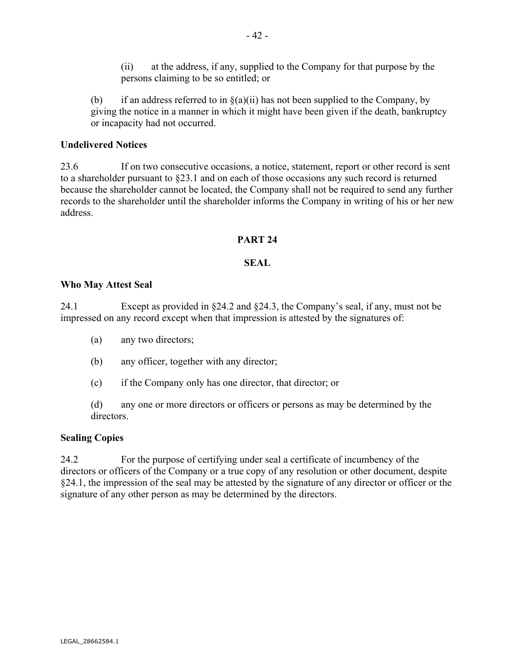(ii) at the address, if any, supplied to the Company for that purpose by the persons claiming to be so entitled; or

(b) if an address referred to in  $\S(a)(ii)$  has not been supplied to the Company, by giving the notice in a manner in which it might have been given if the death, bankruptcy or incapacity had not occurred.

#### **Undelivered Notices**

23.6 If on two consecutive occasions, a notice, statement, report or other record is sent to a shareholder pursuant to §23.1 and on each of those occasions any such record is returned because the shareholder cannot be located, the Company shall not be required to send any further records to the shareholder until the shareholder informs the Company in writing of his or her new address.

#### **PART 24**

## **SEAL**

#### **Who May Attest Seal**

24.1 Except as provided in §24.2 and §24.3, the Company's seal, if any, must not be impressed on any record except when that impression is attested by the signatures of:

- (a) any two directors;
- (b) any officer, together with any director;
- (c) if the Company only has one director, that director; or

(d) any one or more directors or officers or persons as may be determined by the directors.

## **Sealing Copies**

24.2 For the purpose of certifying under seal a certificate of incumbency of the directors or officers of the Company or a true copy of any resolution or other document, despite §24.1, the impression of the seal may be attested by the signature of any director or officer or the signature of any other person as may be determined by the directors.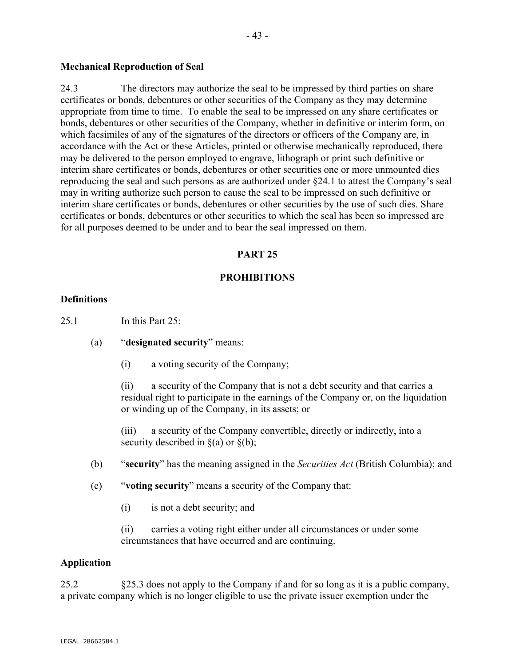#### **Mechanical Reproduction of Seal**

24.3 The directors may authorize the seal to be impressed by third parties on share certificates or bonds, debentures or other securities of the Company as they may determine appropriate from time to time. To enable the seal to be impressed on any share certificates or bonds, debentures or other securities of the Company, whether in definitive or interim form, on which facsimiles of any of the signatures of the directors or officers of the Company are, in accordance with the Act or these Articles, printed or otherwise mechanically reproduced, there may be delivered to the person employed to engrave, lithograph or print such definitive or interim share certificates or bonds, debentures or other securities one or more unmounted dies reproducing the seal and such persons as are authorized under §24.1 to attest the Company's seal may in writing authorize such person to cause the seal to be impressed on such definitive or interim share certificates or bonds, debentures or other securities by the use of such dies. Share certificates or bonds, debentures or other securities to which the seal has been so impressed are for all purposes deemed to be under and to bear the seal impressed on them.

- 43 -

#### **PART 25**

#### **PROHIBITIONS**

#### **Definitions**

25.1 In this Part 25:

- (a) "**designated security**" means:
	- (i) a voting security of the Company;

(ii) a security of the Company that is not a debt security and that carries a residual right to participate in the earnings of the Company or, on the liquidation or winding up of the Company, in its assets; or

(iii) a security of the Company convertible, directly or indirectly, into a security described in  $\S(a)$  or  $\S(b)$ ;

- (b) "**security**" has the meaning assigned in the *Securities Act* (British Columbia); and
- (c) "**voting security**" means a security of the Company that:
	- (i) is not a debt security; and

(ii) carries a voting right either under all circumstances or under some circumstances that have occurred and are continuing.

#### **Application**

25.2 §25.3 does not apply to the Company if and for so long as it is a public company, a private company which is no longer eligible to use the private issuer exemption under the